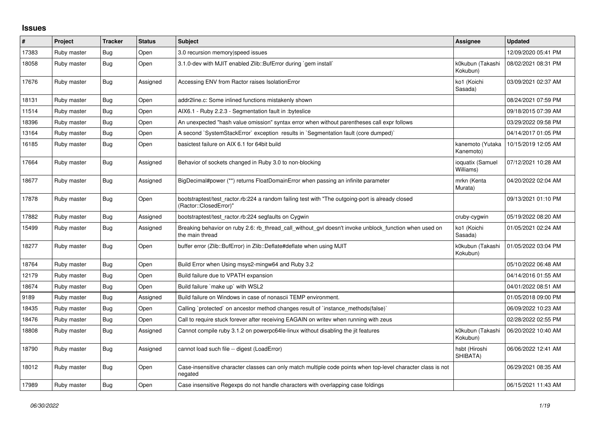## **Issues**

| #     | Project     | <b>Tracker</b> | <b>Status</b> | <b>Subject</b>                                                                                                             | <b>Assignee</b>               | <b>Updated</b>      |
|-------|-------------|----------------|---------------|----------------------------------------------------------------------------------------------------------------------------|-------------------------------|---------------------|
| 17383 | Ruby master | Bug            | Open          | 3.0 recursion memory speed issues                                                                                          |                               | 12/09/2020 05:41 PM |
| 18058 | Ruby master | <b>Bug</b>     | Open          | 3.1.0-dev with MJIT enabled Zlib::BufError during `gem install`                                                            | k0kubun (Takashi<br>Kokubun)  | 08/02/2021 08:31 PM |
| 17676 | Ruby master | <b>Bug</b>     | Assigned      | Accessing ENV from Ractor raises IsolationError                                                                            | ko1 (Koichi<br>Sasada)        | 03/09/2021 02:37 AM |
| 18131 | Ruby master | <b>Bug</b>     | Open          | addr2line.c: Some inlined functions mistakenly shown                                                                       |                               | 08/24/2021 07:59 PM |
| 11514 | Ruby master | <b>Bug</b>     | Open          | AIX6.1 - Ruby 2.2.3 - Segmentation fault in : byteslice                                                                    |                               | 09/18/2015 07:39 AM |
| 18396 | Ruby master | Bug            | Open          | An unexpected "hash value omission" syntax error when without parentheses call expr follows                                |                               | 03/29/2022 09:58 PM |
| 13164 | Ruby master | <b>Bug</b>     | Open          | A second `SystemStackError` exception results in `Segmentation fault (core dumped)`                                        |                               | 04/14/2017 01:05 PM |
| 16185 | Ruby master | <b>Bug</b>     | Open          | basictest failure on AIX 6.1 for 64bit build                                                                               | kanemoto (Yutaka<br>Kanemoto) | 10/15/2019 12:05 AM |
| 17664 | Ruby master | <b>Bug</b>     | Assigned      | Behavior of sockets changed in Ruby 3.0 to non-blocking                                                                    | ioquatix (Samuel<br>Williams) | 07/12/2021 10:28 AM |
| 18677 | Ruby master | <b>Bug</b>     | Assigned      | BigDecimal#power (**) returns FloatDomainError when passing an infinite parameter                                          | mrkn (Kenta<br>Murata)        | 04/20/2022 02:04 AM |
| 17878 | Ruby master | <b>Bug</b>     | Open          | bootstraptest/test_ractor.rb:224 a random failing test with "The outgoing-port is already closed<br>(Ractor::ClosedError)" |                               | 09/13/2021 01:10 PM |
| 17882 | Ruby master | <b>Bug</b>     | Assigned      | bootstraptest/test ractor.rb:224 segfaults on Cygwin                                                                       | cruby-cygwin                  | 05/19/2022 08:20 AM |
| 15499 | Ruby master | <b>Bug</b>     | Assigned      | Breaking behavior on ruby 2.6: rb_thread_call_without_gvl doesn't invoke unblock_function when used on<br>the main thread  | ko1 (Koichi<br>Sasada)        | 01/05/2021 02:24 AM |
| 18277 | Ruby master | <b>Bug</b>     | Open          | buffer error (Zlib::BufError) in Zlib::Deflate#deflate when using MJIT                                                     | k0kubun (Takashi<br>Kokubun)  | 01/05/2022 03:04 PM |
| 18764 | Ruby master | <b>Bug</b>     | Open          | Build Error when Using msys2-mingw64 and Ruby 3.2                                                                          |                               | 05/10/2022 06:48 AM |
| 12179 | Ruby master | <b>Bug</b>     | Open          | Build failure due to VPATH expansion                                                                                       |                               | 04/14/2016 01:55 AM |
| 18674 | Ruby master | Bug            | Open          | Build failure `make up` with WSL2                                                                                          |                               | 04/01/2022 08:51 AM |
| 9189  | Ruby master | Bug            | Assigned      | Build failure on Windows in case of nonascii TEMP environment.                                                             |                               | 01/05/2018 09:00 PM |
| 18435 | Ruby master | <b>Bug</b>     | Open          | Calling `protected` on ancestor method changes result of `instance_methods(false)`                                         |                               | 06/09/2022 10:23 AM |
| 18476 | Ruby master | <b>Bug</b>     | Open          | Call to require stuck forever after receiving EAGAIN on writev when running with zeus                                      |                               | 02/28/2022 02:55 PM |
| 18808 | Ruby master | <b>Bug</b>     | Assigned      | Cannot compile ruby 3.1.2 on powerpc64le-linux without disabling the jit features                                          | k0kubun (Takashi<br>Kokubun)  | 06/20/2022 10:40 AM |
| 18790 | Ruby master | Bug            | Assigned      | cannot load such file -- digest (LoadError)                                                                                | hsbt (Hiroshi<br>SHIBATA)     | 06/06/2022 12:41 AM |
| 18012 | Ruby master | <b>Bug</b>     | Open          | Case-insensitive character classes can only match multiple code points when top-level character class is not<br>negated    |                               | 06/29/2021 08:35 AM |
| 17989 | Ruby master | <b>Bug</b>     | Open          | Case insensitive Regexps do not handle characters with overlapping case foldings                                           |                               | 06/15/2021 11:43 AM |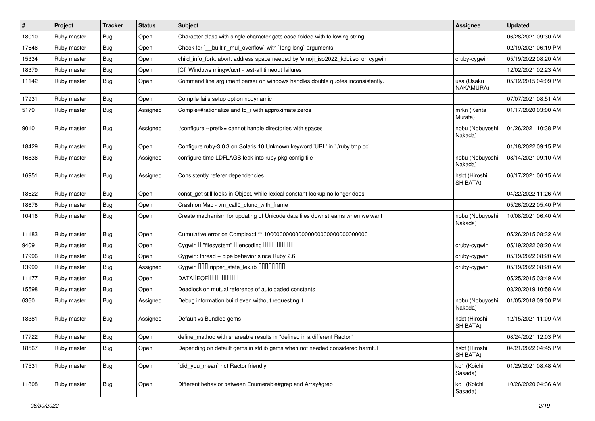| $\sharp$ | Project     | <b>Tracker</b> | <b>Status</b> | Subject                                                                           | <b>Assignee</b>            | <b>Updated</b>      |
|----------|-------------|----------------|---------------|-----------------------------------------------------------------------------------|----------------------------|---------------------|
| 18010    | Ruby master | Bug            | Open          | Character class with single character gets case-folded with following string      |                            | 06/28/2021 09:30 AM |
| 17646    | Ruby master | <b>Bug</b>     | Open          | Check for `__builtin_mul_overflow` with `long long` arguments                     |                            | 02/19/2021 06:19 PM |
| 15334    | Ruby master | Bug            | Open          | child_info_fork::abort: address space needed by 'emoji_iso2022_kddi.so' on cygwin | cruby-cygwin               | 05/19/2022 08:20 AM |
| 18379    | Ruby master | Bug            | Open          | [CI] Windows mingw/ucrt - test-all timeout failures                               |                            | 12/02/2021 02:23 AM |
| 11142    | Ruby master | Bug            | Open          | Command line argument parser on windows handles double quotes inconsistently.     | usa (Usaku<br>NAKAMURA)    | 05/12/2015 04:09 PM |
| 17931    | Ruby master | <b>Bug</b>     | Open          | Compile fails setup option nodynamic                                              |                            | 07/07/2021 08:51 AM |
| 5179     | Ruby master | Bug            | Assigned      | Complex#rationalize and to_r with approximate zeros                               | mrkn (Kenta<br>Murata)     | 01/17/2020 03:00 AM |
| 9010     | Ruby master | Bug            | Assigned      | /configure --prefix= cannot handle directories with spaces                        | nobu (Nobuyoshi<br>Nakada) | 04/26/2021 10:38 PM |
| 18429    | Ruby master | <b>Bug</b>     | Open          | Configure ruby-3.0.3 on Solaris 10 Unknown keyword 'URL' in './ruby.tmp.pc'       |                            | 01/18/2022 09:15 PM |
| 16836    | Ruby master | Bug            | Assigned      | configure-time LDFLAGS leak into ruby pkg-config file                             | nobu (Nobuyoshi<br>Nakada) | 08/14/2021 09:10 AM |
| 16951    | Ruby master | <b>Bug</b>     | Assigned      | Consistently referer dependencies                                                 | hsbt (Hiroshi<br>SHIBATA)  | 06/17/2021 06:15 AM |
| 18622    | Ruby master | <b>Bug</b>     | Open          | const_get still looks in Object, while lexical constant lookup no longer does     |                            | 04/22/2022 11:26 AM |
| 18678    | Ruby master | <b>Bug</b>     | Open          | Crash on Mac - vm_call0_cfunc_with_frame                                          |                            | 05/26/2022 05:40 PM |
| 10416    | Ruby master | <b>Bug</b>     | Open          | Create mechanism for updating of Unicode data files downstreams when we want      | nobu (Nobuyoshi<br>Nakada) | 10/08/2021 06:40 AM |
| 11183    | Ruby master | Bug            | Open          |                                                                                   |                            | 05/26/2015 08:32 AM |
| 9409     | Ruby master | Bug            | Open          | Cygwin I "filesystem" I encoding IIIIIIIIIIIII                                    | cruby-cygwin               | 05/19/2022 08:20 AM |
| 17996    | Ruby master | Bug            | Open          | Cygwin: thread + pipe behavior since Ruby 2.6                                     | cruby-cygwin               | 05/19/2022 08:20 AM |
| 13999    | Ruby master | Bug            | Assigned      | Cygwin DDD ripper_state_lex.rb DDDDDDD                                            | cruby-cygwin               | 05/19/2022 08:20 AM |
| 11177    | Ruby master | Bug            | Open          | DATADEOF00000000                                                                  |                            | 05/25/2015 03:49 AM |
| 15598    | Ruby master | <b>Bug</b>     | Open          | Deadlock on mutual reference of autoloaded constants                              |                            | 03/20/2019 10:58 AM |
| 6360     | Ruby master | <b>Bug</b>     | Assigned      | Debug information build even without requesting it                                | nobu (Nobuyoshi<br>Nakada) | 01/05/2018 09:00 PM |
| 18381    | Ruby master | Bug            | Assigned      | Default vs Bundled gems                                                           | hsbt (Hiroshi<br>SHIBATA)  | 12/15/2021 11:09 AM |
| 17722    | Ruby master | Bug            | Open          | define_method with shareable results in "defined in a different Ractor"           |                            | 08/24/2021 12:03 PM |
| 18567    | Ruby master | <b>Bug</b>     | Open          | Depending on default gems in stdlib gems when not needed considered harmful       | hsbt (Hiroshi<br>SHIBATA)  | 04/21/2022 04:45 PM |
| 17531    | Ruby master | <b>Bug</b>     | Open          | did_you_mean' not Ractor friendly                                                 | ko1 (Koichi<br>Sasada)     | 01/29/2021 08:48 AM |
| 11808    | Ruby master | <b>Bug</b>     | Open          | Different behavior between Enumerable#grep and Array#grep                         | ko1 (Koichi<br>Sasada)     | 10/26/2020 04:36 AM |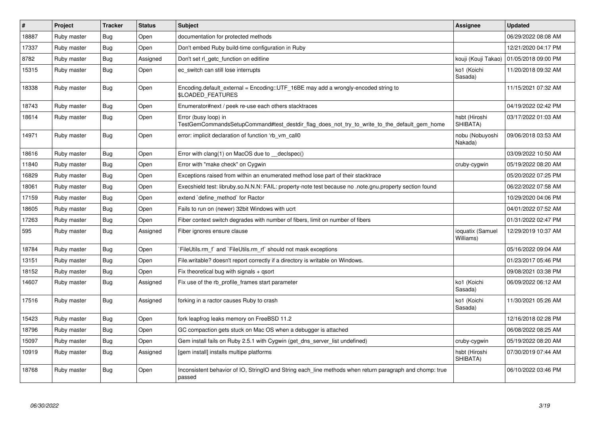| $\sharp$ | <b>Project</b> | <b>Tracker</b> | <b>Status</b> | <b>Subject</b>                                                                                                      | <b>Assignee</b>               | <b>Updated</b>      |
|----------|----------------|----------------|---------------|---------------------------------------------------------------------------------------------------------------------|-------------------------------|---------------------|
| 18887    | Ruby master    | Bug            | Open          | documentation for protected methods                                                                                 |                               | 06/29/2022 08:08 AM |
| 17337    | Ruby master    | <b>Bug</b>     | Open          | Don't embed Ruby build-time configuration in Ruby                                                                   |                               | 12/21/2020 04:17 PM |
| 8782     | Ruby master    | <b>Bug</b>     | Assigned      | Don't set rl_getc_function on editline                                                                              | kouji (Kouji Takao)           | 01/05/2018 09:00 PM |
| 15315    | Ruby master    | Bug            | Open          | ec switch can still lose interrupts                                                                                 | ko1 (Koichi<br>Sasada)        | 11/20/2018 09:32 AM |
| 18338    | Ruby master    | Bug            | Open          | Encoding default external = $Encoding::UTF_16BE$ may add a wrongly-encoded string to<br><b>\$LOADED FEATURES</b>    |                               | 11/15/2021 07:32 AM |
| 18743    | Ruby master    | <b>Bug</b>     | Open          | Enumerator#next / peek re-use each others stacktraces                                                               |                               | 04/19/2022 02:42 PM |
| 18614    | Ruby master    | Bug            | Open          | Error (busy loop) in<br>TestGemCommandsSetupCommand#test destdir flag does not try to write to the default gem home | hsbt (Hiroshi<br>SHIBATA)     | 03/17/2022 01:03 AM |
| 14971    | Ruby master    | <b>Bug</b>     | Open          | error: implicit declaration of function 'rb_vm_call0                                                                | nobu (Nobuyoshi<br>Nakada)    | 09/06/2018 03:53 AM |
| 18616    | Ruby master    | Bug            | Open          | Error with clang(1) on MacOS due to declspec()                                                                      |                               | 03/09/2022 10:50 AM |
| 11840    | Ruby master    | <b>Bug</b>     | Open          | Error with "make check" on Cygwin                                                                                   | cruby-cygwin                  | 05/19/2022 08:20 AM |
| 16829    | Ruby master    | <b>Bug</b>     | Open          | Exceptions raised from within an enumerated method lose part of their stacktrace                                    |                               | 05/20/2022 07:25 PM |
| 18061    | Ruby master    | <b>Bug</b>     | Open          | Execshield test: libruby.so.N.N.N: FAIL: property-note test because no .note.gnu.property section found             |                               | 06/22/2022 07:58 AM |
| 17159    | Ruby master    | Bug            | Open          | extend `define method` for Ractor                                                                                   |                               | 10/29/2020 04:06 PM |
| 18605    | Ruby master    | <b>Bug</b>     | Open          | Fails to run on (newer) 32bit Windows with ucrt                                                                     |                               | 04/01/2022 07:52 AM |
| 17263    | Ruby master    | <b>Bug</b>     | Open          | Fiber context switch degrades with number of fibers, limit on number of fibers                                      |                               | 01/31/2022 02:47 PM |
| 595      | Ruby master    | <b>Bug</b>     | Assigned      | Fiber ignores ensure clause                                                                                         | ioquatix (Samuel<br>Williams) | 12/29/2019 10:37 AM |
| 18784    | Ruby master    | <b>Bug</b>     | Open          | FileUtils.rm f and `FileUtils.rm rf should not mask exceptions                                                      |                               | 05/16/2022 09:04 AM |
| 13151    | Ruby master    | <b>Bug</b>     | Open          | File.writable? doesn't report correctly if a directory is writable on Windows.                                      |                               | 01/23/2017 05:46 PM |
| 18152    | Ruby master    | <b>Bug</b>     | Open          | Fix theoretical bug with signals $+$ qsort                                                                          |                               | 09/08/2021 03:38 PM |
| 14607    | Ruby master    | <b>Bug</b>     | Assigned      | Fix use of the rb_profile_frames start parameter                                                                    | ko1 (Koichi<br>Sasada)        | 06/09/2022 06:12 AM |
| 17516    | Ruby master    | <b>Bug</b>     | Assigned      | forking in a ractor causes Ruby to crash                                                                            | ko1 (Koichi<br>Sasada)        | 11/30/2021 05:26 AM |
| 15423    | Ruby master    | Bug            | Open          | fork leapfrog leaks memory on FreeBSD 11.2                                                                          |                               | 12/16/2018 02:28 PM |
| 18796    | Ruby master    | Bug            | Open          | GC compaction gets stuck on Mac OS when a debugger is attached                                                      |                               | 06/08/2022 08:25 AM |
| 15097    | Ruby master    | <b>Bug</b>     | Open          | Gem install fails on Ruby 2.5.1 with Cygwin (get_dns_server_list undefined)                                         | cruby-cygwin                  | 05/19/2022 08:20 AM |
| 10919    | Ruby master    | Bug            | Assigned      | [gem install] installs multipe platforms                                                                            | hsbt (Hiroshi<br>SHIBATA)     | 07/30/2019 07:44 AM |
| 18768    | Ruby master    | <b>Bug</b>     | Open          | Inconsistent behavior of IO, StringIO and String each_line methods when return paragraph and chomp: true<br>passed  |                               | 06/10/2022 03:46 PM |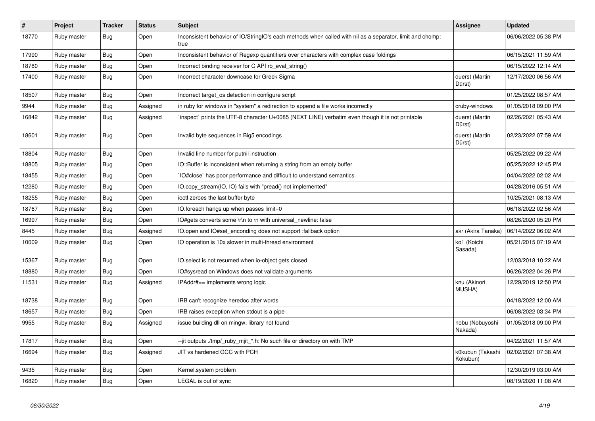| $\#$  | Project     | <b>Tracker</b> | <b>Status</b> | <b>Subject</b>                                                                                                    | Assignee                     | <b>Updated</b>      |
|-------|-------------|----------------|---------------|-------------------------------------------------------------------------------------------------------------------|------------------------------|---------------------|
| 18770 | Ruby master | Bug            | Open          | Inconsistent behavior of IO/StringIO's each methods when called with nil as a separator, limit and chomp:<br>true |                              | 06/06/2022 05:38 PM |
| 17990 | Ruby master | <b>Bug</b>     | Open          | Inconsistent behavior of Regexp quantifiers over characters with complex case foldings                            |                              | 06/15/2021 11:59 AM |
| 18780 | Ruby master | Bug            | Open          | Incorrect binding receiver for C API rb_eval_string()                                                             |                              | 06/15/2022 12:14 AM |
| 17400 | Ruby master | Bug            | Open          | Incorrect character downcase for Greek Sigma                                                                      | duerst (Martin<br>Dürst)     | 12/17/2020 06:56 AM |
| 18507 | Ruby master | <b>Bug</b>     | Open          | Incorrect target_os detection in configure script                                                                 |                              | 01/25/2022 08:57 AM |
| 9944  | Ruby master | <b>Bug</b>     | Assigned      | in ruby for windows in "system" a redirection to append a file works incorrectly                                  | cruby-windows                | 01/05/2018 09:00 PM |
| 16842 | Ruby master | <b>Bug</b>     | Assigned      | inspect` prints the UTF-8 character U+0085 (NEXT LINE) verbatim even though it is not printable                   | duerst (Martin<br>Dürst)     | 02/26/2021 05:43 AM |
| 18601 | Ruby master | Bug            | Open          | Invalid byte sequences in Big5 encodings                                                                          | duerst (Martin<br>Dürst)     | 02/23/2022 07:59 AM |
| 18804 | Ruby master | <b>Bug</b>     | Open          | Invalid line number for putnil instruction                                                                        |                              | 05/25/2022 09:22 AM |
| 18805 | Ruby master | <b>Bug</b>     | Open          | IO::Buffer is inconsistent when returning a string from an empty buffer                                           |                              | 05/25/2022 12:45 PM |
| 18455 | Ruby master | <b>Bug</b>     | Open          | IO#close` has poor performance and difficult to understand semantics.                                             |                              | 04/04/2022 02:02 AM |
| 12280 | Ruby master | Bug            | Open          | IO.copy_stream(IO, IO) fails with "pread() not implemented"                                                       |                              | 04/28/2016 05:51 AM |
| 18255 | Ruby master | <b>Bug</b>     | Open          | ioctl zeroes the last buffer byte                                                                                 |                              | 10/25/2021 08:13 AM |
| 18767 | Ruby master | <b>Bug</b>     | Open          | IO.foreach hangs up when passes limit=0                                                                           |                              | 06/18/2022 02:56 AM |
| 16997 | Ruby master | Bug            | Open          | IO#gets converts some \r\n to \n with universal newline: false                                                    |                              | 08/26/2020 05:20 PM |
| 8445  | Ruby master | <b>Bug</b>     | Assigned      | IO.open and IO#set_enconding does not support :fallback option                                                    | akr (Akira Tanaka)           | 06/14/2022 06:02 AM |
| 10009 | Ruby master | <b>Bug</b>     | Open          | IO operation is 10x slower in multi-thread environment                                                            | ko1 (Koichi<br>Sasada)       | 05/21/2015 07:19 AM |
| 15367 | Ruby master | <b>Bug</b>     | Open          | IO.select is not resumed when io-object gets closed                                                               |                              | 12/03/2018 10:22 AM |
| 18880 | Ruby master | Bug            | Open          | IO#sysread on Windows does not validate arguments                                                                 |                              | 06/26/2022 04:26 PM |
| 11531 | Ruby master | <b>Bug</b>     | Assigned      | IPAddr#== implements wrong logic                                                                                  | knu (Akinori<br>MUSHA)       | 12/29/2019 12:50 PM |
| 18738 | Ruby master | <b>Bug</b>     | Open          | IRB can't recognize heredoc after words                                                                           |                              | 04/18/2022 12:00 AM |
| 18657 | Ruby master | <b>Bug</b>     | Open          | IRB raises exception when stdout is a pipe                                                                        |                              | 06/08/2022 03:34 PM |
| 9955  | Ruby master | <b>Bug</b>     | Assigned      | issue building dll on mingw, library not found                                                                    | nobu (Nobuyoshi<br>Nakada)   | 01/05/2018 09:00 PM |
| 17817 | Ruby master | <b>Bug</b>     | Open          | --jit outputs ./tmp/_ruby_mjit_*.h: No such file or directory on with TMP                                         |                              | 04/22/2021 11:57 AM |
| 16694 | Ruby master | Bug            | Assigned      | JIT vs hardened GCC with PCH                                                                                      | k0kubun (Takashi<br>Kokubun) | 02/02/2021 07:38 AM |
| 9435  | Ruby master | <b>Bug</b>     | Open          | Kernel.system problem                                                                                             |                              | 12/30/2019 03:00 AM |
| 16820 | Ruby master | Bug            | Open          | LEGAL is out of sync                                                                                              |                              | 08/19/2020 11:08 AM |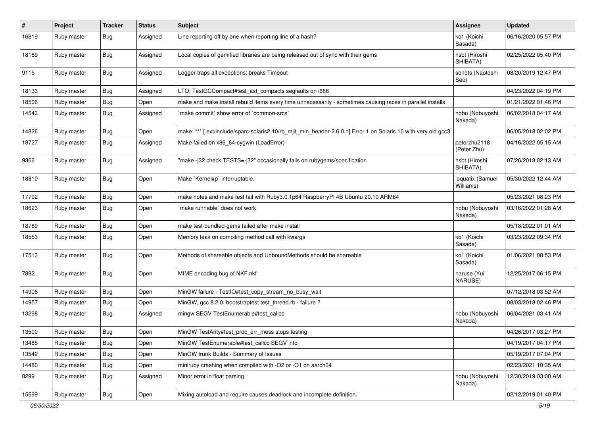| $\#$  | Project     | <b>Tracker</b> | <b>Status</b> | Subject                                                                                                        | <b>Assignee</b>               | <b>Updated</b>      |
|-------|-------------|----------------|---------------|----------------------------------------------------------------------------------------------------------------|-------------------------------|---------------------|
| 16819 | Ruby master | Bug            | Assigned      | Line reporting off by one when reporting line of a hash?                                                       | ko1 (Koichi<br>Sasada)        | 06/16/2020 05:57 PM |
| 18169 | Ruby master | <b>Bug</b>     | Assigned      | Local copies of gemified libraries are being released out of sync with their gems                              | hsbt (Hiroshi<br>SHIBATA)     | 02/25/2022 05:40 PM |
| 9115  | Ruby master | Bug            | Assigned      | Logger traps all exceptions; breaks Timeout                                                                    | sonots (Naotoshi<br>Seo)      | 08/20/2019 12:47 PM |
| 18133 | Ruby master | <b>Bug</b>     | Assigned      | LTO: TestGCCompact#test_ast_compacts segfaults on i686                                                         |                               | 04/23/2022 04:19 PM |
| 18506 | Ruby master | Bug            | Open          | make and make install rebuild items every time unnecessarily - sometimes causing races in parallel installs    |                               | 01/21/2022 01:46 PM |
| 14543 | Ruby master | Bug            | Assigned      | `make commit` show error of `common-srcs`                                                                      | nobu (Nobuyoshi<br>Nakada)    | 06/02/2018 04:17 AM |
| 14826 | Ruby master | Bug            | Open          | make: *** [.ext/include/sparc-solaris2.10/rb_mjit_min_header-2.6.0.h] Error 1 on Solaris 10 with very old gcc3 |                               | 06/05/2018 02:02 PM |
| 18727 | Ruby master | <b>Bug</b>     | Assigned      | Make failed on x86_64-cygwin (LoadError)                                                                       | peterzhu2118<br>(Peter Zhu)   | 04/16/2022 05:15 AM |
| 9366  | Ruby master | <b>Bug</b>     | Assigned      | "make -j32 check TESTS=-j32" occasionally fails on rubygems/specification                                      | hsbt (Hiroshi<br>SHIBATA)     | 07/26/2018 02:13 AM |
| 18810 | Ruby master | <b>Bug</b>     | Open          | Make `Kernel#p` interruptable.                                                                                 | ioquatix (Samuel<br>Williams) | 05/30/2022 12:44 AM |
| 17792 | Ruby master | <b>Bug</b>     | Open          | make notes and make test fail with Ruby3.0.1p64 RaspberryPI 4B Ubuntu 20.10 ARM64                              |                               | 05/23/2021 08:23 PM |
| 18623 | Ruby master | Bug            | Open          | make runnable' does not work                                                                                   | nobu (Nobuyoshi<br>Nakada)    | 03/16/2022 01:28 AM |
| 18789 | Ruby master | <b>Bug</b>     | Open          | make test-bundled-gems failed after make install                                                               |                               | 05/18/2022 01:01 AM |
| 18553 | Ruby master | <b>Bug</b>     | Open          | Memory leak on compiling method call with kwargs                                                               | ko1 (Koichi<br>Sasada)        | 03/23/2022 09:34 PM |
| 17513 | Ruby master | <b>Bug</b>     | Open          | Methods of shareable objects and UnboundMethods should be shareable                                            | ko1 (Koichi<br>Sasada)        | 01/06/2021 08:53 PM |
| 7892  | Ruby master | <b>Bug</b>     | Open          | MIME encoding bug of NKF.nkf                                                                                   | naruse (Yui<br>NARUSE)        | 12/25/2017 06:15 PM |
| 14906 | Ruby master | <b>Bug</b>     | Open          | MinGW failure - TestlO#test_copy_stream_no_busy_wait                                                           |                               | 07/12/2018 03:52 AM |
| 14957 | Ruby master | <b>Bug</b>     | Open          | MinGW, gcc 8.2.0, bootstraptest test_thread.rb - failure ?                                                     |                               | 08/03/2018 02:46 PM |
| 13298 | Ruby master | <b>Bug</b>     | Assigned      | mingw SEGV TestEnumerable#test_callcc                                                                          | nobu (Nobuyoshi<br>Nakada)    | 06/04/2021 03:41 AM |
| 13500 | Ruby master | <b>Bug</b>     | Open          | MinGW TestArity#test_proc_err_mess stops testing                                                               |                               | 04/26/2017 03:27 PM |
| 13485 | Ruby master | Bug            | Open          | MinGW TestEnumerable#test callcc SEGV info                                                                     |                               | 04/19/2017 04:17 PM |
| 13542 | Ruby master | <b>Bug</b>     | Open          | MinGW trunk Builds - Summary of Issues                                                                         |                               | 05/19/2017 07:04 PM |
| 14480 | Ruby master | <b>Bug</b>     | Open          | miniruby crashing when compiled with -O2 or -O1 on aarch64                                                     |                               | 02/23/2021 10:35 AM |
| 8299  | Ruby master | <b>Bug</b>     | Assigned      | Minor error in float parsing                                                                                   | nobu (Nobuyoshi<br>Nakada)    | 12/30/2019 03:00 AM |
| 15599 | Ruby master | Bug            | Open          | Mixing autoload and require causes deadlock and incomplete definition.                                         |                               | 02/12/2019 01:40 PM |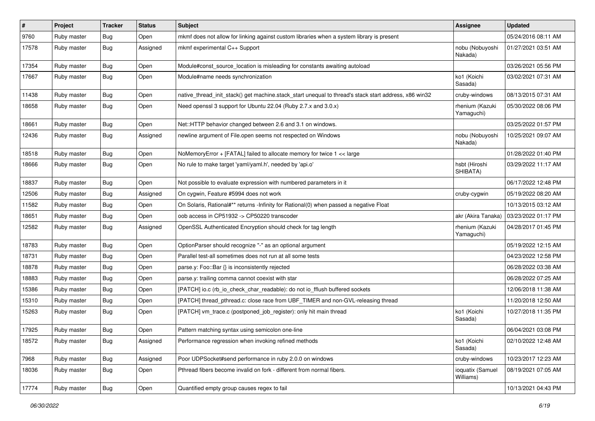| #     | Project     | <b>Tracker</b> | <b>Status</b> | <b>Subject</b>                                                                                        | <b>Assignee</b>               | <b>Updated</b>      |
|-------|-------------|----------------|---------------|-------------------------------------------------------------------------------------------------------|-------------------------------|---------------------|
| 9760  | Ruby master | <b>Bug</b>     | Open          | mkmf does not allow for linking against custom libraries when a system library is present             |                               | 05/24/2016 08:11 AM |
| 17578 | Ruby master | Bug            | Assigned      | mkmf experimental C++ Support                                                                         | nobu (Nobuyoshi<br>Nakada)    | 01/27/2021 03:51 AM |
| 17354 | Ruby master | <b>Bug</b>     | Open          | Module#const_source_location is misleading for constants awaiting autoload                            |                               | 03/26/2021 05:56 PM |
| 17667 | Ruby master | Bug            | Open          | Module#name needs synchronization                                                                     | ko1 (Koichi<br>Sasada)        | 03/02/2021 07:31 AM |
| 11438 | Ruby master | Bug            | Open          | native_thread_init_stack() get machine.stack_start unequal to thread's stack start address, x86 win32 | cruby-windows                 | 08/13/2015 07:31 AM |
| 18658 | Ruby master | Bug            | Open          | Need openssl 3 support for Ubuntu 22.04 (Ruby 2.7.x and 3.0.x)                                        | rhenium (Kazuki<br>Yamaguchi) | 05/30/2022 08:06 PM |
| 18661 | Ruby master | <b>Bug</b>     | Open          | Net::HTTP behavior changed between 2.6 and 3.1 on windows.                                            |                               | 03/25/2022 01:57 PM |
| 12436 | Ruby master | Bug            | Assigned      | newline argument of File.open seems not respected on Windows                                          | nobu (Nobuyoshi<br>Nakada)    | 10/25/2021 09:07 AM |
| 18518 | Ruby master | <b>Bug</b>     | Open          | NoMemoryError + [FATAL] failed to allocate memory for twice 1 << large                                |                               | 01/28/2022 01:40 PM |
| 18666 | Ruby master | <b>Bug</b>     | Open          | No rule to make target 'yaml/yaml.h', needed by 'api.o'                                               | hsbt (Hiroshi<br>SHIBATA)     | 03/29/2022 11:17 AM |
| 18837 | Ruby master | <b>Bug</b>     | Open          | Not possible to evaluate expression with numbered parameters in it                                    |                               | 06/17/2022 12:48 PM |
| 12506 | Ruby master | <b>Bug</b>     | Assigned      | On cygwin, Feature #5994 does not work                                                                | cruby-cygwin                  | 05/19/2022 08:20 AM |
| 11582 | Ruby master | <b>Bug</b>     | Open          | On Solaris, Rational#** returns -Infinity for Rational(0) when passed a negative Float                |                               | 10/13/2015 03:12 AM |
| 18651 | Ruby master | <b>Bug</b>     | Open          | oob access in CP51932 -> CP50220 transcoder                                                           | akr (Akira Tanaka)            | 03/23/2022 01:17 PM |
| 12582 | Ruby master | <b>Bug</b>     | Assigned      | OpenSSL Authenticated Encryption should check for tag length                                          | rhenium (Kazuki<br>Yamaguchi) | 04/28/2017 01:45 PM |
| 18783 | Ruby master | Bug            | Open          | OptionParser should recognize "-" as an optional argument                                             |                               | 05/19/2022 12:15 AM |
| 18731 | Ruby master | <b>Bug</b>     | Open          | Parallel test-all sometimes does not run at all some tests                                            |                               | 04/23/2022 12:58 PM |
| 18878 | Ruby master | <b>Bug</b>     | Open          | parse.y: Foo::Bar {} is inconsistently rejected                                                       |                               | 06/28/2022 03:38 AM |
| 18883 | Ruby master | <b>Bug</b>     | Open          | parse.y: trailing comma cannot coexist with star                                                      |                               | 06/28/2022 07:25 AM |
| 15386 | Ruby master | Bug            | Open          | [PATCH] io.c (rb_io_check_char_readable): do not io_fflush buffered sockets                           |                               | 12/06/2018 11:38 AM |
| 15310 | Ruby master | <b>Bug</b>     | Open          | [PATCH] thread_pthread.c: close race from UBF_TIMER and non-GVL-releasing thread                      |                               | 11/20/2018 12:50 AM |
| 15263 | Ruby master | Bug            | Open          | [PATCH] vm_trace.c (postponed_job_register): only hit main thread                                     | ko1 (Koichi<br>Sasada)        | 10/27/2018 11:35 PM |
| 17925 | Ruby master | <b>Bug</b>     | Open          | Pattern matching syntax using semicolon one-line                                                      |                               | 06/04/2021 03:08 PM |
| 18572 | Ruby master | Bug            | Assigned      | Performance regression when invoking refined methods                                                  | ko1 (Koichi<br>Sasada)        | 02/10/2022 12:48 AM |
| 7968  | Ruby master | Bug            | Assigned      | Poor UDPSocket#send performance in ruby 2.0.0 on windows                                              | cruby-windows                 | 10/23/2017 12:23 AM |
| 18036 | Ruby master | Bug            | Open          | Pthread fibers become invalid on fork - different from normal fibers.                                 | ioquatix (Samuel<br>Williams) | 08/19/2021 07:05 AM |
| 17774 | Ruby master | <b>Bug</b>     | Open          | Quantified empty group causes regex to fail                                                           |                               | 10/13/2021 04:43 PM |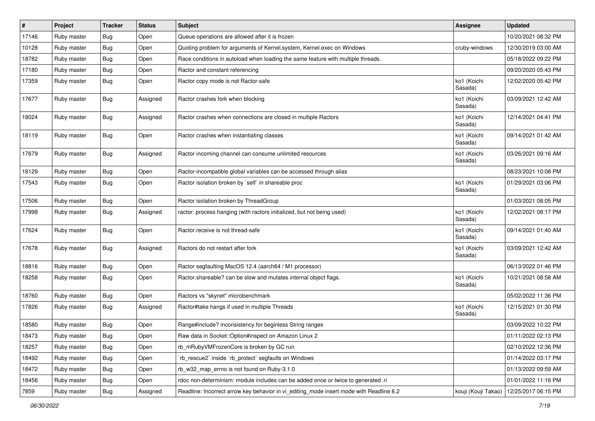| #     | Project     | <b>Tracker</b> | <b>Status</b> | Subject                                                                                 | <b>Assignee</b>        | <b>Updated</b>      |
|-------|-------------|----------------|---------------|-----------------------------------------------------------------------------------------|------------------------|---------------------|
| 17146 | Ruby master | <b>Bug</b>     | Open          | Queue operations are allowed after it is frozen                                         |                        | 10/20/2021 08:32 PM |
| 10128 | Ruby master | <b>Bug</b>     | Open          | Quoting problem for arguments of Kernel.system, Kernel.exec on Windows                  | cruby-windows          | 12/30/2019 03:00 AM |
| 18782 | Ruby master | <b>Bug</b>     | Open          | Race conditions in autoload when loading the same feature with multiple threads.        |                        | 05/18/2022 09:22 PM |
| 17180 | Ruby master | Bug            | Open          | Ractor and constant referencing                                                         |                        | 09/20/2020 05:43 PM |
| 17359 | Ruby master | <b>Bug</b>     | Open          | Ractor copy mode is not Ractor-safe                                                     | ko1 (Koichi<br>Sasada) | 12/02/2020 05:42 PM |
| 17677 | Ruby master | <b>Bug</b>     | Assigned      | Ractor crashes fork when blocking                                                       | ko1 (Koichi<br>Sasada) | 03/09/2021 12:42 AM |
| 18024 | Ruby master | <b>Bug</b>     | Assigned      | Ractor crashes when connections are closed in multiple Ractors                          | ko1 (Koichi<br>Sasada) | 12/14/2021 04:41 PM |
| 18119 | Ruby master | <b>Bug</b>     | Open          | Ractor crashes when instantiating classes                                               | ko1 (Koichi<br>Sasada) | 09/14/2021 01:42 AM |
| 17679 | Ruby master | <b>Bug</b>     | Assigned      | Ractor incoming channel can consume unlimited resources                                 | ko1 (Koichi<br>Sasada) | 03/26/2021 09:16 AM |
| 18129 | Ruby master | <b>Bug</b>     | Open          | Ractor-incompatible global variables can be accessed through alias                      |                        | 08/23/2021 10:08 PM |
| 17543 | Ruby master | <b>Bug</b>     | Open          | Ractor isolation broken by `self` in shareable proc                                     | ko1 (Koichi<br>Sasada) | 01/29/2021 03:06 PM |
| 17506 | Ruby master | Bug            | Open          | Ractor isolation broken by ThreadGroup                                                  |                        | 01/03/2021 08:05 PM |
| 17998 | Ruby master | Bug            | Assigned      | ractor: process hanging (with ractors initialized, but not being used)                  | ko1 (Koichi<br>Sasada) | 12/02/2021 08:17 PM |
| 17624 | Ruby master | Bug            | Open          | Ractor.receive is not thread-safe                                                       | ko1 (Koichi<br>Sasada) | 09/14/2021 01:40 AM |
| 17678 | Ruby master | <b>Bug</b>     | Assigned      | Ractors do not restart after fork                                                       | ko1 (Koichi<br>Sasada) | 03/09/2021 12:42 AM |
| 18816 | Ruby master | <b>Bug</b>     | Open          | Ractor segfaulting MacOS 12.4 (aarch64 / M1 processor)                                  |                        | 06/13/2022 01:46 PM |
| 18258 | Ruby master | Bug            | Open          | Ractor.shareable? can be slow and mutates internal object flags.                        | ko1 (Koichi<br>Sasada) | 10/21/2021 08:58 AM |
| 18760 | Ruby master | <b>Bug</b>     | Open          | Ractors vs "skynet" microbenchmark                                                      |                        | 05/02/2022 11:36 PM |
| 17826 | Ruby master | <b>Bug</b>     | Assigned      | Ractor#take hangs if used in multiple Threads                                           | ko1 (Koichi<br>Sasada) | 12/15/2021 01:30 PM |
| 18580 | Ruby master | <b>Bug</b>     | Open          | Range#include? inconsistency for beginless String ranges                                |                        | 03/09/2022 10:22 PM |
| 18473 | Ruby master | Bug            | Open          | Raw data in Socket::Option#inspect on Amazon Linux 2                                    |                        | 01/11/2022 02:13 PM |
| 18257 | Ruby master | <b>Bug</b>     | Open          | rb_mRubyVMFrozenCore is broken by GC run                                                |                        | 02/10/2022 12:36 PM |
| 18492 | Ruby master | Bug            | Open          | rb_rescue2` inside `rb_protect` segfaults on Windows                                    |                        | 01/14/2022 03:17 PM |
| 18472 | Ruby master | <b>Bug</b>     | Open          | rb_w32_map_errno is not found on Ruby-3.1.0                                             |                        | 01/13/2022 09:59 AM |
| 18456 | Ruby master | Bug            | Open          | rdoc non-determinism: module includes can be added once or twice to generated .ri       |                        | 01/01/2022 11:16 PM |
| 7859  | Ruby master | Bug            | Assigned      | Readline: Incorrect arrow key behavior in vi_editing_mode insert mode with Readline 6.2 | kouji (Kouji Takao)    | 12/25/2017 06:15 PM |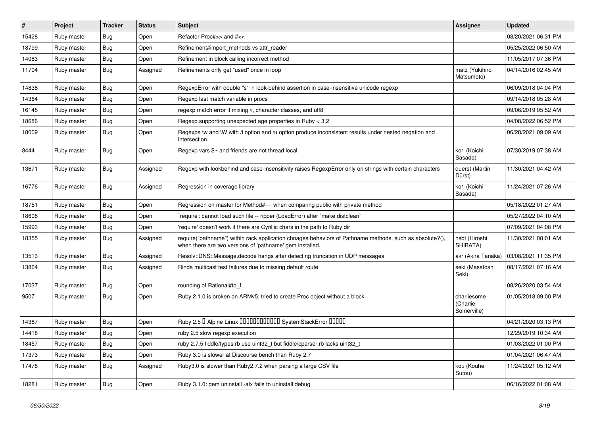| #     | Project     | <b>Tracker</b> | <b>Status</b> | <b>Subject</b>                                                                                                                                                      | Assignee                               | <b>Updated</b>      |
|-------|-------------|----------------|---------------|---------------------------------------------------------------------------------------------------------------------------------------------------------------------|----------------------------------------|---------------------|
| 15428 | Ruby master | <b>Bug</b>     | Open          | Refactor Proc#>> and #<<                                                                                                                                            |                                        | 08/20/2021 06:31 PM |
| 18799 | Ruby master | Bug            | Open          | Refinement#import_methods vs attr_reader                                                                                                                            |                                        | 05/25/2022 06:50 AM |
| 14083 | Ruby master | <b>Bug</b>     | Open          | Refinement in block calling incorrect method                                                                                                                        |                                        | 11/05/2017 07:36 PM |
| 11704 | Ruby master | <b>Bug</b>     | Assigned      | Refinements only get "used" once in loop                                                                                                                            | matz (Yukihiro<br>Matsumoto)           | 04/14/2016 02:45 AM |
| 14838 | Ruby master | Bug            | Open          | RegexpError with double "s" in look-behind assertion in case-insensitive unicode regexp                                                                             |                                        | 06/09/2018 04:04 PM |
| 14364 | Ruby master | Bug            | Open          | Regexp last match variable in procs                                                                                                                                 |                                        | 09/14/2018 05:28 AM |
| 16145 | Ruby master | <b>Bug</b>     | Open          | regexp match error if mixing /i, character classes, and utf8                                                                                                        |                                        | 09/06/2019 05:52 AM |
| 18686 | Ruby master | <b>Bug</b>     | Open          | Regexp supporting unexpected age properties in Ruby < 3.2                                                                                                           |                                        | 04/08/2022 06:52 PM |
| 18009 | Ruby master | <b>Bug</b>     | Open          | Regexps \w and \W with /i option and /u option produce inconsistent results under nested negation and<br>intersection                                               |                                        | 06/28/2021 09:09 AM |
| 8444  | Ruby master | Bug            | Open          | Regexp vars \$~ and friends are not thread local                                                                                                                    | ko1 (Koichi<br>Sasada)                 | 07/30/2019 07:38 AM |
| 13671 | Ruby master | <b>Bug</b>     | Assigned      | Regexp with lookbehind and case-insensitivity raises RegexpError only on strings with certain characters                                                            | duerst (Martin<br>Dürst)               | 11/30/2021 04:42 AM |
| 16776 | Ruby master | Bug            | Assigned      | Regression in coverage library                                                                                                                                      | ko1 (Koichi<br>Sasada)                 | 11/24/2021 07:26 AM |
| 18751 | Ruby master | Bug            | Open          | Regression on master for Method#== when comparing public with private method                                                                                        |                                        | 05/18/2022 01:27 AM |
| 18608 | Ruby master | <b>Bug</b>     | Open          | 'require': cannot load such file -- ripper (LoadError) after 'make distclean'                                                                                       |                                        | 05/27/2022 04:10 AM |
| 15993 | Ruby master | Bug            | Open          | require' doesn't work if there are Cyrillic chars in the path to Ruby dir                                                                                           |                                        | 07/09/2021 04:08 PM |
| 18355 | Ruby master | Bug            | Assigned      | require("pathname") within rack application chnages behaviors of Pathname methods, such as absolute?(),<br>when there are two versions of 'pathname' gem installed. | hsbt (Hiroshi<br>SHIBATA)              | 11/30/2021 08:01 AM |
| 13513 | Ruby master | <b>Bug</b>     | Assigned      | Resolv::DNS::Message.decode hangs after detecting truncation in UDP messages                                                                                        | akr (Akira Tanaka)                     | 03/08/2021 11:35 PM |
| 13864 | Ruby master | Bug            | Assigned      | Rinda multicast test failures due to missing default route                                                                                                          | seki (Masatoshi<br>Seki)               | 08/17/2021 07:16 AM |
| 17037 | Ruby master | Bug            | Open          | rounding of Rational#to_f                                                                                                                                           |                                        | 08/26/2020 03:54 AM |
| 9507  | Ruby master | <b>Bug</b>     | Open          | Ruby 2.1.0 is broken on ARMv5: tried to create Proc object without a block                                                                                          | charliesome<br>(Charlie<br>Somerville) | 01/05/2018 09:00 PM |
| 14387 | Ruby master | <b>Bug</b>     | Open          | Ruby 2.5 <sup>D</sup> Alpine Linux 000000000000 SystemStackError 00000                                                                                              |                                        | 04/21/2020 03:13 PM |
| 14418 | Ruby master | <b>Bug</b>     | Open          | ruby 2.5 slow regexp execution                                                                                                                                      |                                        | 12/29/2019 10:34 AM |
| 18457 | Ruby master | <b>Bug</b>     | Open          | ruby 2.7.5 fiddle/types.rb use uint32_t but fiddle/cparser.rb lacks uint32_t                                                                                        |                                        | 01/03/2022 01:00 PM |
| 17373 | Ruby master | <b>Bug</b>     | Open          | Ruby 3.0 is slower at Discourse bench than Ruby 2.7                                                                                                                 |                                        | 01/04/2021 06:47 AM |
| 17478 | Ruby master | <b>Bug</b>     | Assigned      | Ruby3.0 is slower than Ruby2.7.2 when parsing a large CSV file                                                                                                      | kou (Kouhei<br>Sutou)                  | 11/24/2021 05:12 AM |
| 18281 | Ruby master | Bug            | Open          | Ruby 3.1.0: gem uninstall -alx fails to uninstall debug                                                                                                             |                                        | 06/16/2022 01:08 AM |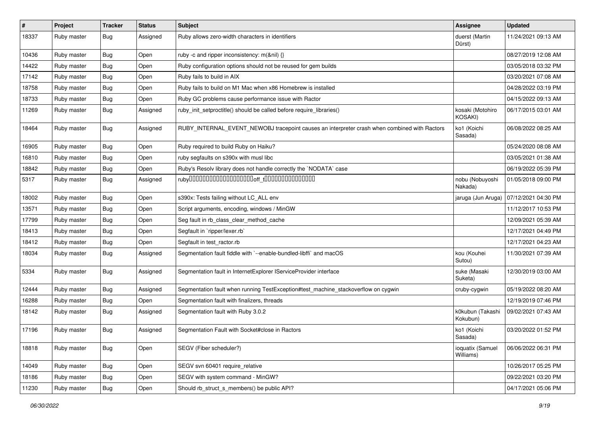| $\sharp$ | Project     | <b>Tracker</b> | <b>Status</b> | <b>Subject</b>                                                                               | Assignee                      | <b>Updated</b>      |
|----------|-------------|----------------|---------------|----------------------------------------------------------------------------------------------|-------------------------------|---------------------|
| 18337    | Ruby master | <b>Bug</b>     | Assigned      | Ruby allows zero-width characters in identifiers                                             | duerst (Martin<br>Dürst)      | 11/24/2021 09:13 AM |
| 10436    | Ruby master | <b>Bug</b>     | Open          | ruby -c and ripper inconsistency: m(&nil) {}                                                 |                               | 08/27/2019 12:08 AM |
| 14422    | Ruby master | <b>Bug</b>     | Open          | Ruby configuration options should not be reused for gem builds                               |                               | 03/05/2018 03:32 PM |
| 17142    | Ruby master | Bug            | Open          | Ruby fails to build in AIX                                                                   |                               | 03/20/2021 07:08 AM |
| 18758    | Ruby master | <b>Bug</b>     | Open          | Ruby fails to build on M1 Mac when x86 Homebrew is installed                                 |                               | 04/28/2022 03:19 PM |
| 18733    | Ruby master | <b>Bug</b>     | Open          | Ruby GC problems cause performance issue with Ractor                                         |                               | 04/15/2022 09:13 AM |
| 11269    | Ruby master | <b>Bug</b>     | Assigned      | ruby_init_setproctitle() should be called before require_libraries()                         | kosaki (Motohiro<br>KOSAKI)   | 06/17/2015 03:01 AM |
| 18464    | Ruby master | Bug            | Assigned      | RUBY_INTERNAL_EVENT_NEWOBJ tracepoint causes an interpreter crash when combined with Ractors | ko1 (Koichi<br>Sasada)        | 06/08/2022 08:25 AM |
| 16905    | Ruby master | Bug            | Open          | Ruby required to build Ruby on Haiku?                                                        |                               | 05/24/2020 08:08 AM |
| 16810    | Ruby master | Bug            | Open          | ruby segfaults on s390x with musl libc                                                       |                               | 03/05/2021 01:38 AM |
| 18842    | Ruby master | <b>Bug</b>     | Open          | Ruby's Resolv library does not handle correctly the `NODATA` case                            |                               | 06/19/2022 05:39 PM |
| 5317     | Ruby master | <b>Bug</b>     | Assigned      |                                                                                              | nobu (Nobuyoshi<br>Nakada)    | 01/05/2018 09:00 PM |
| 18002    | Ruby master | <b>Bug</b>     | Open          | s390x: Tests failing without LC_ALL env                                                      | jaruga (Jun Aruga)            | 07/12/2021 04:30 PM |
| 13571    | Ruby master | <b>Bug</b>     | Open          | Script arguments, encoding, windows / MinGW                                                  |                               | 11/12/2017 10:53 PM |
| 17799    | Ruby master | <b>Bug</b>     | Open          | Seg fault in rb_class_clear_method_cache                                                     |                               | 12/09/2021 05:39 AM |
| 18413    | Ruby master | Bug            | Open          | Segfault in `ripper/lexer.rb`                                                                |                               | 12/17/2021 04:49 PM |
| 18412    | Ruby master | Bug            | Open          | Segfault in test_ractor.rb                                                                   |                               | 12/17/2021 04:23 AM |
| 18034    | Ruby master | <b>Bug</b>     | Assigned      | Segmentation fault fiddle with `--enable-bundled-libffi` and macOS                           | kou (Kouhei<br>Sutou)         | 11/30/2021 07:39 AM |
| 5334     | Ruby master | Bug            | Assigned      | Segmentation fault in InternetExplorer IServiceProvider interface                            | suke (Masaki<br>Suketa)       | 12/30/2019 03:00 AM |
| 12444    | Ruby master | <b>Bug</b>     | Assigned      | Segmentation fault when running TestException#test_machine_stackoverflow on cygwin           | cruby-cygwin                  | 05/19/2022 08:20 AM |
| 16288    | Ruby master | <b>Bug</b>     | Open          | Segmentation fault with finalizers, threads                                                  |                               | 12/19/2019 07:46 PM |
| 18142    | Ruby master | Bug            | Assigned      | Segmentation fault with Ruby 3.0.2                                                           | k0kubun (Takashi<br>Kokubun)  | 09/02/2021 07:43 AM |
| 17196    | Ruby master | <b>Bug</b>     | Assigned      | Segmentation Fault with Socket#close in Ractors                                              | ko1 (Koichi<br>Sasada)        | 03/20/2022 01:52 PM |
| 18818    | Ruby master | <b>Bug</b>     | Open          | SEGV (Fiber scheduler?)                                                                      | ioquatix (Samuel<br>Williams) | 06/06/2022 06:31 PM |
| 14049    | Ruby master | <b>Bug</b>     | Open          | SEGV svn 60401 require_relative                                                              |                               | 10/26/2017 05:25 PM |
| 18186    | Ruby master | Bug            | Open          | SEGV with system command - MinGW?                                                            |                               | 09/22/2021 03:20 PM |
| 11230    | Ruby master | <b>Bug</b>     | Open          | Should rb struct s members() be public API?                                                  |                               | 04/17/2021 05:06 PM |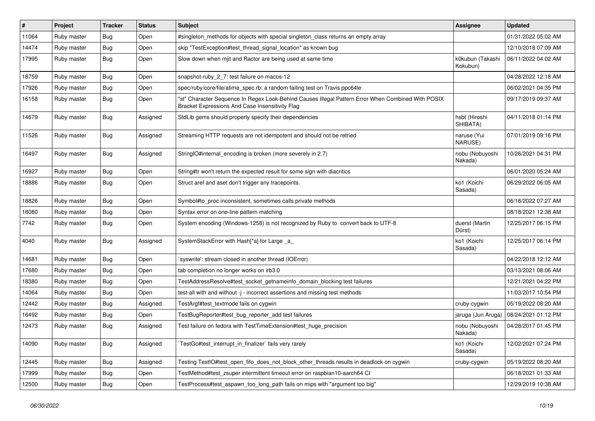| $\sharp$ | Project     | <b>Tracker</b> | <b>Status</b> | <b>Subject</b>                                                                                                                                        | Assignee                     | <b>Updated</b>      |
|----------|-------------|----------------|---------------|-------------------------------------------------------------------------------------------------------------------------------------------------------|------------------------------|---------------------|
| 11064    | Ruby master | <b>Bug</b>     | Open          | #singleton_methods for objects with special singleton_class returns an empty array                                                                    |                              | 01/31/2022 05:02 AM |
| 14474    | Ruby master | <b>Bug</b>     | Open          | skip "TestException#test_thread_signal_location" as known bug                                                                                         |                              | 12/10/2018 07:09 AM |
| 17995    | Ruby master | Bug            | Open          | Slow down when mjit and Ractor are being used at same time                                                                                            | k0kubun (Takashi<br>Kokubun) | 06/11/2022 04:02 AM |
| 18759    | Ruby master | <b>Bug</b>     | Open          | snapshot-ruby_2_7: test failure on macos-12                                                                                                           |                              | 04/28/2022 12:18 AM |
| 17926    | Ruby master | <b>Bug</b>     | Open          | spec/ruby/core/file/atime_spec.rb: a random failing test on Travis ppc64le                                                                            |                              | 06/02/2021 04:35 PM |
| 16158    | Ruby master | <b>Bug</b>     | Open          | "st" Character Sequence In Regex Look-Behind Causes Illegal Pattern Error When Combined With POSIX<br>Bracket Expressions And Case Insensitivity Flag |                              | 09/17/2019 09:37 AM |
| 14679    | Ruby master | Bug            | Assigned      | StdLib gems should properly specify their dependencies                                                                                                | hsbt (Hiroshi<br>SHIBATA)    | 04/11/2018 01:14 PM |
| 11526    | Ruby master | Bug            | Assigned      | Streaming HTTP requests are not idempotent and should not be retried                                                                                  | naruse (Yui<br>NARUSE)       | 07/01/2019 09:16 PM |
| 16497    | Ruby master | Bug            | Assigned      | StringIO#internal_encoding is broken (more severely in 2.7)                                                                                           | nobu (Nobuyoshi<br>Nakada)   | 10/26/2021 04:31 PM |
| 16927    | Ruby master | <b>Bug</b>     | Open          | String#tr won't return the expected result for some sign with diacritics                                                                              |                              | 06/01/2020 05:24 AM |
| 18886    | Ruby master | Bug            | Open          | Struct aref and aset don't trigger any tracepoints.                                                                                                   | ko1 (Koichi<br>Sasada)       | 06/29/2022 06:05 AM |
| 18826    | Ruby master | Bug            | Open          | Symbol#to_proc inconsistent, sometimes calls private methods                                                                                          |                              | 06/16/2022 07:27 AM |
| 18080    | Ruby master | Bug            | Open          | Syntax error on one-line pattern matching                                                                                                             |                              | 08/18/2021 12:38 AM |
| 7742     | Ruby master | <b>Bug</b>     | Open          | System encoding (Windows-1258) is not recognized by Ruby to convert back to UTF-8                                                                     | duerst (Martin<br>Dürst)     | 12/25/2017 06:15 PM |
| 4040     | Ruby master | Bug            | Assigned      | SystemStackError with Hash[*a] for Large _a_                                                                                                          | ko1 (Koichi<br>Sasada)       | 12/25/2017 06:14 PM |
| 14681    | Ruby master | Bug            | Open          | syswrite': stream closed in another thread (IOError)                                                                                                  |                              | 04/22/2018 12:12 AM |
| 17680    | Ruby master | <b>Bug</b>     | Open          | tab completion no longer works on irb3.0                                                                                                              |                              | 03/13/2021 08:06 AM |
| 18380    | Ruby master | Bug            | Open          | TestAddressResolve#test_socket_getnameinfo_domain_blocking test failures                                                                              |                              | 12/21/2021 04:22 PM |
| 14064    | Ruby master | Bug            | Open          | test-all with and without -j - incorrect assertions and missing test methods                                                                          |                              | 11/03/2017 10:54 PM |
| 12442    | Ruby master | <b>Bug</b>     | Assigned      | TestArgf#test textmode fails on cygwin                                                                                                                | cruby-cygwin                 | 05/19/2022 08:20 AM |
| 16492    | Ruby master | <b>Bug</b>     | Open          | TestBugReporter#test_bug_reporter_add test failures                                                                                                   | jaruga (Jun Aruga)           | 08/24/2021 01:12 PM |
| 12473    | Ruby master | <b>Bug</b>     | Assigned      | Test failure on fedora with TestTimeExtension#test_huge_precision                                                                                     | nobu (Nobuyoshi<br>Nakada)   | 04/28/2017 01:45 PM |
| 14090    | Ruby master | <b>Bug</b>     | Assigned      | TestGc#test_interrupt_in_finalizer` fails very rarely                                                                                                 | ko1 (Koichi<br>Sasada)       | 12/02/2021 07:24 PM |
| 12445    | Ruby master | <b>Bug</b>     | Assigned      | Testing TestIO#test open fifo does not block other threads results in deadlock on cygwin                                                              | cruby-cygwin                 | 05/19/2022 08:20 AM |
| 17999    | Ruby master | <b>Bug</b>     | Open          | TestMethod#test_zsuper intermittent timeout error on raspbian10-aarch64 CI                                                                            |                              | 06/18/2021 01:33 AM |
| 12500    | Ruby master | Bug            | Open          | TestProcess#test aspawn too long path fails on mips with "argument too big"                                                                           |                              | 12/29/2019 10:38 AM |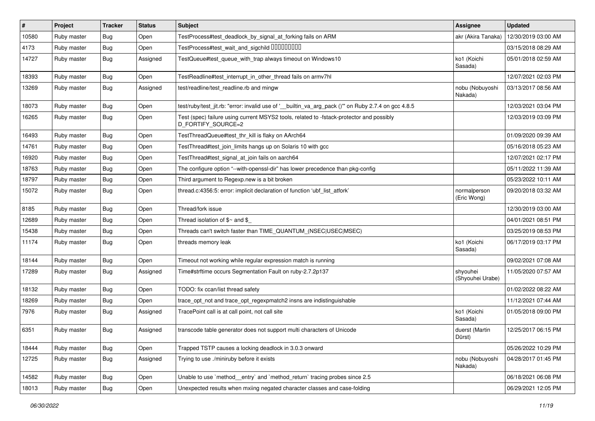| $\sharp$ | Project     | <b>Tracker</b> | <b>Status</b> | <b>Subject</b>                                                                                                 | Assignee                     | <b>Updated</b>      |
|----------|-------------|----------------|---------------|----------------------------------------------------------------------------------------------------------------|------------------------------|---------------------|
| 10580    | Ruby master | <b>Bug</b>     | Open          | TestProcess#test_deadlock_by_signal_at_forking fails on ARM                                                    | akr (Akira Tanaka)           | 12/30/2019 03:00 AM |
| 4173     | Ruby master | Bug            | Open          | TestProcess#test_wait_and_sigchild DDDDDDDD                                                                    |                              | 03/15/2018 08:29 AM |
| 14727    | Ruby master | Bug            | Assigned      | TestQueue#test_queue_with_trap always timeout on Windows10                                                     | ko1 (Koichi<br>Sasada)       | 05/01/2018 02:59 AM |
| 18393    | Ruby master | Bug            | Open          | TestReadline#test_interrupt_in_other_thread fails on armv7hl                                                   |                              | 12/07/2021 02:03 PM |
| 13269    | Ruby master | <b>Bug</b>     | Assigned      | test/readline/test readline.rb and mingw                                                                       | nobu (Nobuyoshi<br>Nakada)   | 03/13/2017 08:56 AM |
| 18073    | Ruby master | <b>Bug</b>     | Open          | test/ruby/test_jit.rb: "error: invalid use of '_builtin_va_arg_pack ()" on Ruby 2.7.4 on gcc 4.8.5             |                              | 12/03/2021 03:04 PM |
| 16265    | Ruby master | <b>Bug</b>     | Open          | Test (spec) failure using current MSYS2 tools, related to -fstack-protector and possibly<br>D_FORTIFY_SOURCE=2 |                              | 12/03/2019 03:09 PM |
| 16493    | Ruby master | Bug            | Open          | TestThreadQueue#test_thr_kill is flaky on AArch64                                                              |                              | 01/09/2020 09:39 AM |
| 14761    | Ruby master | <b>Bug</b>     | Open          | TestThread#test_join_limits hangs up on Solaris 10 with gcc                                                    |                              | 05/16/2018 05:23 AM |
| 16920    | Ruby master | Bug            | Open          | TestThread#test_signal_at_join fails on aarch64                                                                |                              | 12/07/2021 02:17 PM |
| 18763    | Ruby master | <b>Bug</b>     | Open          | The configure option "--with-openssl-dir" has lower precedence than pkg-config                                 |                              | 05/11/2022 11:39 AM |
| 18797    | Ruby master | <b>Bug</b>     | Open          | Third argument to Regexp.new is a bit broken                                                                   |                              | 05/23/2022 10:11 AM |
| 15072    | Ruby master | <b>Bug</b>     | Open          | thread.c:4356:5: error: implicit declaration of function 'ubf_list_atfork'                                     | normalperson<br>(Eric Wong)  | 09/20/2018 03:32 AM |
| 8185     | Ruby master | Bug            | Open          | Thread/fork issue                                                                                              |                              | 12/30/2019 03:00 AM |
| 12689    | Ruby master | Bug            | Open          | Thread isolation of $\gamma$ and $\gamma$                                                                      |                              | 04/01/2021 08:51 PM |
| 15438    | Ruby master | Bug            | Open          | Threads can't switch faster than TIME_QUANTUM_(NSEC USEC MSEC)                                                 |                              | 03/25/2019 08:53 PM |
| 11174    | Ruby master | Bug            | Open          | threads memory leak                                                                                            | ko1 (Koichi<br>Sasada)       | 06/17/2019 03:17 PM |
| 18144    | Ruby master | Bug            | Open          | Timeout not working while regular expression match is running                                                  |                              | 09/02/2021 07:08 AM |
| 17289    | Ruby master | Bug            | Assigned      | Time#strftime occurs Segmentation Fault on ruby-2.7.2p137                                                      | shyouhei<br>(Shyouhei Urabe) | 11/05/2020 07:57 AM |
| 18132    | Ruby master | Bug            | Open          | TODO: fix ccan/list thread safety                                                                              |                              | 01/02/2022 08:22 AM |
| 18269    | Ruby master | <b>Bug</b>     | Open          | trace_opt_not and trace_opt_regexpmatch2 insns are indistinguishable                                           |                              | 11/12/2021 07:44 AM |
| 7976     | Ruby master | Bug            | Assigned      | TracePoint call is at call point, not call site                                                                | ko1 (Koichi<br>Sasada)       | 01/05/2018 09:00 PM |
| 6351     | Ruby master | Bug            | Assigned      | transcode table generator does not support multi characters of Unicode                                         | duerst (Martin<br>Dürst)     | 12/25/2017 06:15 PM |
| 18444    | Ruby master | <b>Bug</b>     | Open          | Trapped TSTP causes a locking deadlock in 3.0.3 onward                                                         |                              | 05/26/2022 10:29 PM |
| 12725    | Ruby master | <b>Bug</b>     | Assigned      | Trying to use ./miniruby before it exists                                                                      | nobu (Nobuyoshi<br>Nakada)   | 04/28/2017 01:45 PM |
| 14582    | Ruby master | <b>Bug</b>     | Open          | Unable to use `method entry` and `method return` tracing probes since 2.5                                      |                              | 06/18/2021 06:08 PM |
| 18013    | Ruby master | Bug            | Open          | Unexpected results when mxiing negated character classes and case-folding                                      |                              | 06/29/2021 12:05 PM |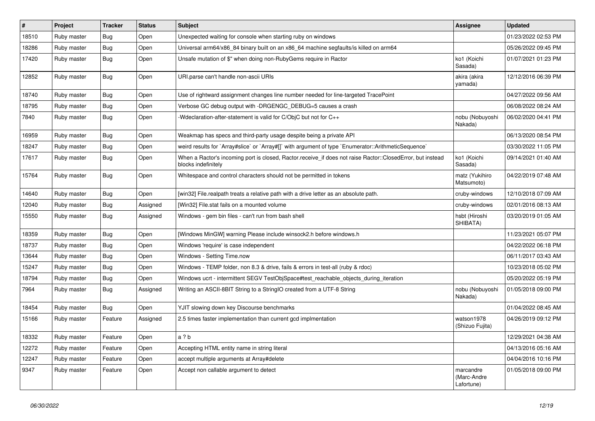| $\#$  | Project     | <b>Tracker</b> | <b>Status</b> | <b>Subject</b>                                                                                                                    | <b>Assignee</b>                        | <b>Updated</b>      |
|-------|-------------|----------------|---------------|-----------------------------------------------------------------------------------------------------------------------------------|----------------------------------------|---------------------|
| 18510 | Ruby master | Bug            | Open          | Unexpected waiting for console when starting ruby on windows                                                                      |                                        | 01/23/2022 02:53 PM |
| 18286 | Ruby master | <b>Bug</b>     | Open          | Universal arm64/x86_84 binary built on an x86_64 machine segfaults/is killed on arm64                                             |                                        | 05/26/2022 09:45 PM |
| 17420 | Ruby master | Bug            | Open          | Unsafe mutation of \$" when doing non-RubyGems require in Ractor                                                                  | ko1 (Koichi<br>Sasada)                 | 01/07/2021 01:23 PM |
| 12852 | Ruby master | Bug            | Open          | URI.parse can't handle non-ascii URIs                                                                                             | akira (akira<br>yamada)                | 12/12/2016 06:39 PM |
| 18740 | Ruby master | Bug            | Open          | Use of rightward assignment changes line number needed for line-targeted TracePoint                                               |                                        | 04/27/2022 09:56 AM |
| 18795 | Ruby master | Bug            | Open          | Verbose GC debug output with -DRGENGC_DEBUG=5 causes a crash                                                                      |                                        | 06/08/2022 08:24 AM |
| 7840  | Ruby master | <b>Bug</b>     | Open          | -Wdeclaration-after-statement is valid for C/ObjC but not for C++                                                                 | nobu (Nobuyoshi<br>Nakada)             | 06/02/2020 04:41 PM |
| 16959 | Ruby master | <b>Bug</b>     | Open          | Weakmap has specs and third-party usage despite being a private API                                                               |                                        | 06/13/2020 08:54 PM |
| 18247 | Ruby master | Bug            | Open          | weird results for `Array#slice` or `Array#[]` with argument of type `Enumerator::ArithmeticSequence`                              |                                        | 03/30/2022 11:05 PM |
| 17617 | Ruby master | Bug            | Open          | When a Ractor's incoming port is closed, Ractor receive if does not raise Ractor::ClosedError, but instead<br>blocks indefinitely | ko1 (Koichi<br>Sasada)                 | 09/14/2021 01:40 AM |
| 15764 | Ruby master | <b>Bug</b>     | Open          | Whitespace and control characters should not be permitted in tokens                                                               | matz (Yukihiro<br>Matsumoto)           | 04/22/2019 07:48 AM |
| 14640 | Ruby master | Bug            | Open          | [win32] File.realpath treats a relative path with a drive letter as an absolute path.                                             | cruby-windows                          | 12/10/2018 07:09 AM |
| 12040 | Ruby master | Bug            | Assigned      | [Win32] File.stat fails on a mounted volume                                                                                       | cruby-windows                          | 02/01/2016 08:13 AM |
| 15550 | Ruby master | <b>Bug</b>     | Assigned      | Windows - gem bin files - can't run from bash shell                                                                               | hsbt (Hiroshi<br>SHIBATA)              | 03/20/2019 01:05 AM |
| 18359 | Ruby master | Bug            | Open          | [Windows MinGW] warning Please include winsock2.h before windows.h                                                                |                                        | 11/23/2021 05:07 PM |
| 18737 | Ruby master | <b>Bug</b>     | Open          | Windows 'require' is case independent                                                                                             |                                        | 04/22/2022 06:18 PM |
| 13644 | Ruby master | <b>Bug</b>     | Open          | Windows - Setting Time.now                                                                                                        |                                        | 06/11/2017 03:43 AM |
| 15247 | Ruby master | Bug            | Open          | Windows - TEMP folder, non 8.3 & drive, fails & errors in test-all (ruby & rdoc)                                                  |                                        | 10/23/2018 05:02 PM |
| 18794 | Ruby master | <b>Bug</b>     | Open          | Windows ucrt - intermittent SEGV TestObjSpace#test_reachable_objects_during_iteration                                             |                                        | 05/20/2022 05:19 PM |
| 7964  | Ruby master | Bug            | Assigned      | Writing an ASCII-8BIT String to a StringIO created from a UTF-8 String                                                            | nobu (Nobuyoshi<br>Nakada)             | 01/05/2018 09:00 PM |
| 18454 | Ruby master | <b>Bug</b>     | Open          | YJIT slowing down key Discourse benchmarks                                                                                        |                                        | 01/04/2022 08:45 AM |
| 15166 | Ruby master | Feature        | Assigned      | 2.5 times faster implementation than current gcd implmentation                                                                    | watson1978<br>(Shizuo Fujita)          | 04/26/2019 09:12 PM |
| 18332 | Ruby master | Feature        | Open          | a ? b                                                                                                                             |                                        | 12/29/2021 04:38 AM |
| 12272 | Ruby master | Feature        | Open          | Accepting HTML entity name in string literal                                                                                      |                                        | 04/13/2016 05:16 AM |
| 12247 | Ruby master | Feature        | Open          | accept multiple arguments at Array#delete                                                                                         |                                        | 04/04/2016 10:16 PM |
| 9347  | Ruby master | Feature        | Open          | Accept non callable argument to detect                                                                                            | marcandre<br>(Marc-Andre<br>Lafortune) | 01/05/2018 09:00 PM |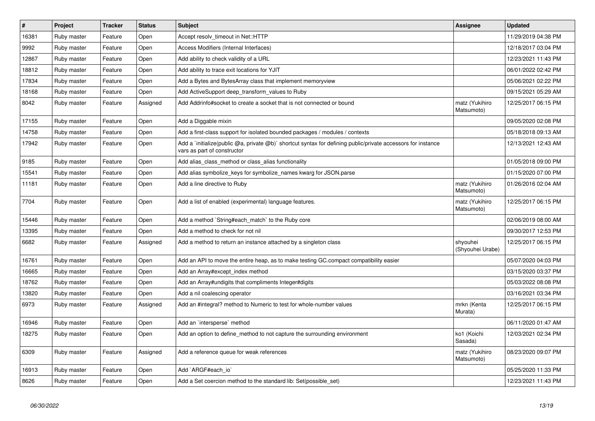| $\#$  | Project     | <b>Tracker</b> | <b>Status</b> | <b>Subject</b>                                                                                                                              | Assignee                     | <b>Updated</b>      |
|-------|-------------|----------------|---------------|---------------------------------------------------------------------------------------------------------------------------------------------|------------------------------|---------------------|
| 16381 | Ruby master | Feature        | Open          | Accept resolv timeout in Net::HTTP                                                                                                          |                              | 11/29/2019 04:38 PM |
| 9992  | Ruby master | Feature        | Open          | Access Modifiers (Internal Interfaces)                                                                                                      |                              | 12/18/2017 03:04 PM |
| 12867 | Ruby master | Feature        | Open          | Add ability to check validity of a URL                                                                                                      |                              | 12/23/2021 11:43 PM |
| 18812 | Ruby master | Feature        | Open          | Add ability to trace exit locations for YJIT                                                                                                |                              | 06/01/2022 02:42 PM |
| 17834 | Ruby master | Feature        | Open          | Add a Bytes and BytesArray class that implement memoryview                                                                                  |                              | 05/06/2021 02:22 PM |
| 18168 | Ruby master | Feature        | Open          | Add ActiveSupport deep transform values to Ruby                                                                                             |                              | 09/15/2021 05:29 AM |
| 8042  | Ruby master | Feature        | Assigned      | Add Addrinfo#socket to create a socket that is not connected or bound                                                                       | matz (Yukihiro<br>Matsumoto) | 12/25/2017 06:15 PM |
| 17155 | Ruby master | Feature        | Open          | Add a Diggable mixin                                                                                                                        |                              | 09/05/2020 02:08 PM |
| 14758 | Ruby master | Feature        | Open          | Add a first-class support for isolated bounded packages / modules / contexts                                                                |                              | 05/18/2018 09:13 AM |
| 17942 | Ruby master | Feature        | Open          | Add a `initialize(public @a, private @b)` shortcut syntax for defining public/private accessors for instance<br>vars as part of constructor |                              | 12/13/2021 12:43 AM |
| 9185  | Ruby master | Feature        | Open          | Add alias_class_method or class_alias functionality                                                                                         |                              | 01/05/2018 09:00 PM |
| 15541 | Ruby master | Feature        | Open          | Add alias symbolize_keys for symbolize_names kwarg for JSON.parse                                                                           |                              | 01/15/2020 07:00 PM |
| 11181 | Ruby master | Feature        | Open          | Add a line directive to Ruby                                                                                                                | matz (Yukihiro<br>Matsumoto) | 01/26/2016 02:04 AM |
| 7704  | Ruby master | Feature        | Open          | Add a list of enabled (experimental) language features.                                                                                     | matz (Yukihiro<br>Matsumoto) | 12/25/2017 06:15 PM |
| 15446 | Ruby master | Feature        | Open          | Add a method `String#each_match` to the Ruby core                                                                                           |                              | 02/06/2019 08:00 AM |
| 13395 | Ruby master | Feature        | Open          | Add a method to check for not nil                                                                                                           |                              | 09/30/2017 12:53 PM |
| 6682  | Ruby master | Feature        | Assigned      | Add a method to return an instance attached by a singleton class                                                                            | shyouhei<br>(Shyouhei Urabe) | 12/25/2017 06:15 PM |
| 16761 | Ruby master | Feature        | Open          | Add an API to move the entire heap, as to make testing GC.compact compatibility easier                                                      |                              | 05/07/2020 04:03 PM |
| 16665 | Ruby master | Feature        | Open          | Add an Array#except index method                                                                                                            |                              | 03/15/2020 03:37 PM |
| 18762 | Ruby master | Feature        | Open          | Add an Array#undigits that compliments Integer#digits                                                                                       |                              | 05/03/2022 08:08 PM |
| 13820 | Ruby master | Feature        | Open          | Add a nil coalescing operator                                                                                                               |                              | 03/16/2021 03:34 PM |
| 6973  | Ruby master | Feature        | Assigned      | Add an #integral? method to Numeric to test for whole-number values                                                                         | mrkn (Kenta<br>Murata)       | 12/25/2017 06:15 PM |
| 16946 | Ruby master | Feature        | Open          | Add an `intersperse` method                                                                                                                 |                              | 06/11/2020 01:47 AM |
| 18275 | Ruby master | Feature        | Open          | Add an option to define_method to not capture the surrounding environment                                                                   | ko1 (Koichi<br>Sasada)       | 12/03/2021 02:34 PM |
| 6309  | Ruby master | Feature        | Assigned      | Add a reference queue for weak references                                                                                                   | matz (Yukihiro<br>Matsumoto) | 08/23/2020 09:07 PM |
| 16913 | Ruby master | Feature        | Open          | Add `ARGF#each io`                                                                                                                          |                              | 05/25/2020 11:33 PM |
| 8626  | Ruby master | Feature        | Open          | Add a Set coercion method to the standard lib: Set (possible set)                                                                           |                              | 12/23/2021 11:43 PM |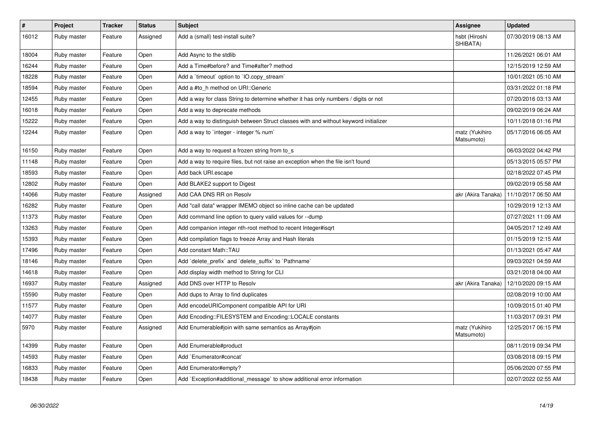| $\vert$ # | Project     | <b>Tracker</b> | <b>Status</b> | <b>Subject</b>                                                                       | Assignee                     | <b>Updated</b>      |
|-----------|-------------|----------------|---------------|--------------------------------------------------------------------------------------|------------------------------|---------------------|
| 16012     | Ruby master | Feature        | Assigned      | Add a (small) test-install suite?                                                    | hsbt (Hiroshi<br>SHIBATA)    | 07/30/2019 08:13 AM |
| 18004     | Ruby master | Feature        | Open          | Add Async to the stdlib                                                              |                              | 11/26/2021 06:01 AM |
| 16244     | Ruby master | Feature        | Open          | Add a Time#before? and Time#after? method                                            |                              | 12/15/2019 12:59 AM |
| 18228     | Ruby master | Feature        | Open          | Add a 'timeout' option to 'IO.copy_stream'                                           |                              | 10/01/2021 05:10 AM |
| 18594     | Ruby master | Feature        | Open          | Add a #to h method on URI::Generic                                                   |                              | 03/31/2022 01:18 PM |
| 12455     | Ruby master | Feature        | Open          | Add a way for class String to determine whether it has only numbers / digits or not  |                              | 07/20/2016 03:13 AM |
| 16018     | Ruby master | Feature        | Open          | Add a way to deprecate methods                                                       |                              | 09/02/2019 06:24 AM |
| 15222     | Ruby master | Feature        | Open          | Add a way to distinguish between Struct classes with and without keyword initializer |                              | 10/11/2018 01:16 PM |
| 12244     | Ruby master | Feature        | Open          | Add a way to 'integer - integer % num'                                               | matz (Yukihiro<br>Matsumoto) | 05/17/2016 06:05 AM |
| 16150     | Ruby master | Feature        | Open          | Add a way to request a frozen string from to_s                                       |                              | 06/03/2022 04:42 PM |
| 11148     | Ruby master | Feature        | Open          | Add a way to require files, but not raise an exception when the file isn't found     |                              | 05/13/2015 05:57 PM |
| 18593     | Ruby master | Feature        | Open          | Add back URI.escape                                                                  |                              | 02/18/2022 07:45 PM |
| 12802     | Ruby master | Feature        | Open          | Add BLAKE2 support to Digest                                                         |                              | 09/02/2019 05:58 AM |
| 14066     | Ruby master | Feature        | Assigned      | Add CAA DNS RR on Resolv                                                             | akr (Akira Tanaka)           | 11/10/2017 06:50 AM |
| 16282     | Ruby master | Feature        | Open          | Add "call data" wrapper IMEMO object so inline cache can be updated                  |                              | 10/29/2019 12:13 AM |
| 11373     | Ruby master | Feature        | Open          | Add command line option to query valid values for --dump                             |                              | 07/27/2021 11:09 AM |
| 13263     | Ruby master | Feature        | Open          | Add companion integer nth-root method to recent Integer#isgrt                        |                              | 04/05/2017 12:49 AM |
| 15393     | Ruby master | Feature        | Open          | Add compilation flags to freeze Array and Hash literals                              |                              | 01/15/2019 12:15 AM |
| 17496     | Ruby master | Feature        | Open          | Add constant Math::TAU                                                               |                              | 01/13/2021 05:47 AM |
| 18146     | Ruby master | Feature        | Open          | Add `delete_prefix` and `delete_suffix` to `Pathname`                                |                              | 09/03/2021 04:59 AM |
| 14618     | Ruby master | Feature        | Open          | Add display width method to String for CLI                                           |                              | 03/21/2018 04:00 AM |
| 16937     | Ruby master | Feature        | Assigned      | Add DNS over HTTP to Resolv                                                          | akr (Akira Tanaka)           | 12/10/2020 09:15 AM |
| 15590     | Ruby master | Feature        | Open          | Add dups to Array to find duplicates                                                 |                              | 02/08/2019 10:00 AM |
| 11577     | Ruby master | Feature        | Open          | Add encodeURIComponent compatible API for URI                                        |                              | 10/09/2015 01:40 PM |
| 14077     | Ruby master | Feature        | Open          | Add Encoding::FILESYSTEM and Encoding::LOCALE constants                              |                              | 11/03/2017 09:31 PM |
| 5970      | Ruby master | Feature        | Assigned      | Add Enumerable#join with same semantics as Array#join                                | matz (Yukihiro<br>Matsumoto) | 12/25/2017 06:15 PM |
| 14399     | Ruby master | Feature        | Open          | Add Enumerable#product                                                               |                              | 08/11/2019 09:34 PM |
| 14593     | Ruby master | Feature        | Open          | Add `Enumerator#concat`                                                              |                              | 03/08/2018 09:15 PM |
| 16833     | Ruby master | Feature        | Open          | Add Enumerator#empty?                                                                |                              | 05/06/2020 07:55 PM |
| 18438     | Ruby master | Feature        | Open          | Add `Exception#additional_message` to show additional error information              |                              | 02/07/2022 02:55 AM |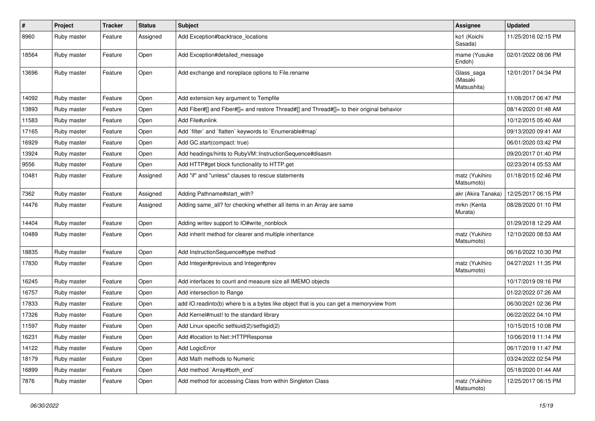| #     | Project     | <b>Tracker</b> | <b>Status</b> | <b>Subject</b>                                                                             | <b>Assignee</b>                      | <b>Updated</b>      |
|-------|-------------|----------------|---------------|--------------------------------------------------------------------------------------------|--------------------------------------|---------------------|
| 8960  | Ruby master | Feature        | Assigned      | Add Exception#backtrace_locations                                                          | ko1 (Koichi<br>Sasada)               | 11/25/2016 02:15 PM |
| 18564 | Ruby master | Feature        | Open          | Add Exception#detailed_message                                                             | mame (Yusuke<br>Endoh)               | 02/01/2022 08:06 PM |
| 13696 | Ruby master | Feature        | Open          | Add exchange and noreplace options to File.rename                                          | Glass_saga<br>(Masaki<br>Matsushita) | 12/01/2017 04:34 PM |
| 14092 | Ruby master | Feature        | Open          | Add extension key argument to Tempfile                                                     |                                      | 11/08/2017 06:47 PM |
| 13893 | Ruby master | Feature        | Open          | Add Fiber#[] and Fiber#[]= and restore Thread#[] and Thread#[]= to their original behavior |                                      | 08/14/2020 01:48 AM |
| 11583 | Ruby master | Feature        | Open          | Add File#unlink                                                                            |                                      | 10/12/2015 05:40 AM |
| 17165 | Ruby master | Feature        | Open          | Add `filter` and `flatten` keywords to `Enumerable#map`                                    |                                      | 09/13/2020 09:41 AM |
| 16929 | Ruby master | Feature        | Open          | Add GC.start(compact: true)                                                                |                                      | 06/01/2020 03:42 PM |
| 13924 | Ruby master | Feature        | Open          | Add headings/hints to RubyVM::InstructionSequence#disasm                                   |                                      | 09/20/2017 01:40 PM |
| 9556  | Ruby master | Feature        | Open          | Add HTTP#get block functionality to HTTP.get                                               |                                      | 02/23/2014 05:53 AM |
| 10481 | Ruby master | Feature        | Assigned      | Add "if" and "unless" clauses to rescue statements                                         | matz (Yukihiro<br>Matsumoto)         | 01/18/2015 02:46 PM |
| 7362  | Ruby master | Feature        | Assigned      | Adding Pathname#start_with?                                                                | akr (Akira Tanaka)                   | 12/25/2017 06:15 PM |
| 14476 | Ruby master | Feature        | Assigned      | Adding same_all? for checking whether all items in an Array are same                       | mrkn (Kenta<br>Murata)               | 08/28/2020 01:10 PM |
| 14404 | Ruby master | Feature        | Open          | Adding writev support to IO#write_nonblock                                                 |                                      | 01/29/2018 12:29 AM |
| 10489 | Ruby master | Feature        | Open          | Add inherit method for clearer and multiple inheritance                                    | matz (Yukihiro<br>Matsumoto)         | 12/10/2020 08:53 AM |
| 18835 | Ruby master | Feature        | Open          | Add InstructionSequence#type method                                                        |                                      | 06/16/2022 10:30 PM |
| 17830 | Ruby master | Feature        | Open          | Add Integer#previous and Integer#prev                                                      | matz (Yukihiro<br>Matsumoto)         | 04/27/2021 11:35 PM |
| 16245 | Ruby master | Feature        | Open          | Add interfaces to count and measure size all IMEMO objects                                 |                                      | 10/17/2019 09:16 PM |
| 16757 | Ruby master | Feature        | Open          | Add intersection to Range                                                                  |                                      | 01/22/2022 07:26 AM |
| 17833 | Ruby master | Feature        | Open          | add IO.readinto(b) where b is a bytes like object that is you can get a memoryview from    |                                      | 06/30/2021 02:36 PM |
| 17326 | Ruby master | Feature        | Open          | Add Kernel#must! to the standard library                                                   |                                      | 06/22/2022 04:10 PM |
| 11597 | Ruby master | Feature        | Open          | Add Linux-specific setfsuid(2)/setfsgid(2)                                                 |                                      | 10/15/2015 10:08 PM |
| 16231 | Ruby master | Feature        | Open          | Add #location to Net::HTTPResponse                                                         |                                      | 10/06/2019 11:14 PM |
| 14122 | Ruby master | Feature        | Open          | Add LogicError                                                                             |                                      | 06/17/2019 11:47 PM |
| 18179 | Ruby master | Feature        | Open          | Add Math methods to Numeric                                                                |                                      | 03/24/2022 02:54 PM |
| 16899 | Ruby master | Feature        | Open          | Add method `Array#both_end`                                                                |                                      | 05/18/2020 01:44 AM |
| 7876  | Ruby master | Feature        | Open          | Add method for accessing Class from within Singleton Class                                 | matz (Yukihiro<br>Matsumoto)         | 12/25/2017 06:15 PM |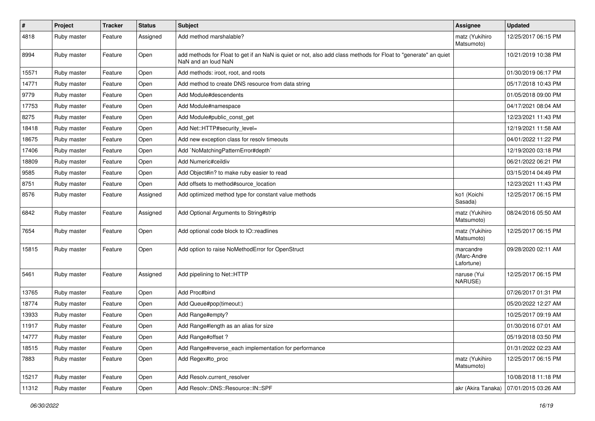| $\sharp$ | Project     | <b>Tracker</b> | <b>Status</b> | Subject                                                                                                                                | <b>Assignee</b>                        | <b>Updated</b>      |
|----------|-------------|----------------|---------------|----------------------------------------------------------------------------------------------------------------------------------------|----------------------------------------|---------------------|
| 4818     | Ruby master | Feature        | Assigned      | Add method marshalable?                                                                                                                | matz (Yukihiro<br>Matsumoto)           | 12/25/2017 06:15 PM |
| 8994     | Ruby master | Feature        | Open          | add methods for Float to get if an NaN is quiet or not, also add class methods for Float to "generate" an quiet<br>NaN and an loud NaN |                                        | 10/21/2019 10:38 PM |
| 15571    | Ruby master | Feature        | Open          | Add methods: iroot, root, and roots                                                                                                    |                                        | 01/30/2019 06:17 PM |
| 14771    | Ruby master | Feature        | Open          | Add method to create DNS resource from data string                                                                                     |                                        | 05/17/2018 10:43 PM |
| 9779     | Ruby master | Feature        | Open          | Add Module#descendents                                                                                                                 |                                        | 01/05/2018 09:00 PM |
| 17753    | Ruby master | Feature        | Open          | Add Module#namespace                                                                                                                   |                                        | 04/17/2021 08:04 AM |
| 8275     | Ruby master | Feature        | Open          | Add Module#public_const_get                                                                                                            |                                        | 12/23/2021 11:43 PM |
| 18418    | Ruby master | Feature        | Open          | Add Net::HTTP#security_level=                                                                                                          |                                        | 12/19/2021 11:58 AM |
| 18675    | Ruby master | Feature        | Open          | Add new exception class for resolv timeouts                                                                                            |                                        | 04/01/2022 11:22 PM |
| 17406    | Ruby master | Feature        | Open          | Add `NoMatchingPatternError#depth`                                                                                                     |                                        | 12/19/2020 03:18 PM |
| 18809    | Ruby master | Feature        | Open          | Add Numeric#ceildiv                                                                                                                    |                                        | 06/21/2022 06:21 PM |
| 9585     | Ruby master | Feature        | Open          | Add Object#in? to make ruby easier to read                                                                                             |                                        | 03/15/2014 04:49 PM |
| 8751     | Ruby master | Feature        | Open          | Add offsets to method#source_location                                                                                                  |                                        | 12/23/2021 11:43 PM |
| 8576     | Ruby master | Feature        | Assigned      | Add optimized method type for constant value methods                                                                                   | ko1 (Koichi<br>Sasada)                 | 12/25/2017 06:15 PM |
| 6842     | Ruby master | Feature        | Assigned      | Add Optional Arguments to String#strip                                                                                                 | matz (Yukihiro<br>Matsumoto)           | 08/24/2016 05:50 AM |
| 7654     | Ruby master | Feature        | Open          | Add optional code block to IO::readlines                                                                                               | matz (Yukihiro<br>Matsumoto)           | 12/25/2017 06:15 PM |
| 15815    | Ruby master | Feature        | Open          | Add option to raise NoMethodError for OpenStruct                                                                                       | marcandre<br>(Marc-Andre<br>Lafortune) | 09/28/2020 02:11 AM |
| 5461     | Ruby master | Feature        | Assigned      | Add pipelining to Net::HTTP                                                                                                            | naruse (Yui<br>NARUSE)                 | 12/25/2017 06:15 PM |
| 13765    | Ruby master | Feature        | Open          | Add Proc#bind                                                                                                                          |                                        | 07/26/2017 01:31 PM |
| 18774    | Ruby master | Feature        | Open          | Add Queue#pop(timeout:)                                                                                                                |                                        | 05/20/2022 12:27 AM |
| 13933    | Ruby master | Feature        | Open          | Add Range#empty?                                                                                                                       |                                        | 10/25/2017 09:19 AM |
| 11917    | Ruby master | Feature        | Open          | Add Range#length as an alias for size                                                                                                  |                                        | 01/30/2016 07:01 AM |
| 14777    | Ruby master | Feature        | Open          | Add Range#offset ?                                                                                                                     |                                        | 05/19/2018 03:50 PM |
| 18515    | Ruby master | Feature        | Open          | Add Range#reverse each implementation for performance                                                                                  |                                        | 01/31/2022 02:23 AM |
| 7883     | Ruby master | Feature        | Open          | Add Regex#to_proc                                                                                                                      | matz (Yukihiro<br>Matsumoto)           | 12/25/2017 06:15 PM |
| 15217    | Ruby master | Feature        | Open          | Add Resolv.current_resolver                                                                                                            |                                        | 10/08/2018 11:18 PM |
| 11312    | Ruby master | Feature        | Open          | Add Resolv::DNS::Resource::IN::SPF                                                                                                     | akr (Akira Tanaka)                     | 07/01/2015 03:26 AM |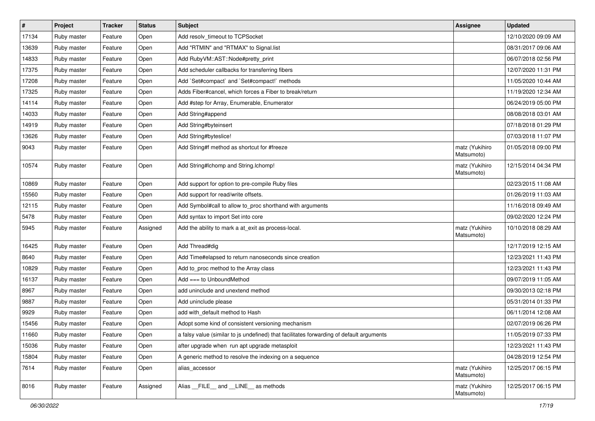| $\sharp$ | Project     | <b>Tracker</b> | <b>Status</b> | Subject                                                                                  | Assignee                     | <b>Updated</b>      |
|----------|-------------|----------------|---------------|------------------------------------------------------------------------------------------|------------------------------|---------------------|
| 17134    | Ruby master | Feature        | Open          | Add resolv_timeout to TCPSocket                                                          |                              | 12/10/2020 09:09 AM |
| 13639    | Ruby master | Feature        | Open          | Add "RTMIN" and "RTMAX" to Signal.list                                                   |                              | 08/31/2017 09:06 AM |
| 14833    | Ruby master | Feature        | Open          | Add Ruby VM:: AST:: Node#pretty_print                                                    |                              | 06/07/2018 02:56 PM |
| 17375    | Ruby master | Feature        | Open          | Add scheduler callbacks for transferring fibers                                          |                              | 12/07/2020 11:31 PM |
| 17208    | Ruby master | Feature        | Open          | Add `Set#compact` and `Set#compact!` methods                                             |                              | 11/05/2020 10:44 AM |
| 17325    | Ruby master | Feature        | Open          | Adds Fiber#cancel, which forces a Fiber to break/return                                  |                              | 11/19/2020 12:34 AM |
| 14114    | Ruby master | Feature        | Open          | Add #step for Array, Enumerable, Enumerator                                              |                              | 06/24/2019 05:00 PM |
| 14033    | Ruby master | Feature        | Open          | Add String#append                                                                        |                              | 08/08/2018 03:01 AM |
| 14919    | Ruby master | Feature        | Open          | Add String#byteinsert                                                                    |                              | 07/18/2018 01:29 PM |
| 13626    | Ruby master | Feature        | Open          | Add String#byteslice!                                                                    |                              | 07/03/2018 11:07 PM |
| 9043     | Ruby master | Feature        | Open          | Add String#f method as shortcut for #freeze                                              | matz (Yukihiro<br>Matsumoto) | 01/05/2018 09:00 PM |
| 10574    | Ruby master | Feature        | Open          | Add String#Ichomp and String.Ichomp!                                                     | matz (Yukihiro<br>Matsumoto) | 12/15/2014 04:34 PM |
| 10869    | Ruby master | Feature        | Open          | Add support for option to pre-compile Ruby files                                         |                              | 02/23/2015 11:08 AM |
| 15560    | Ruby master | Feature        | Open          | Add support for read/write offsets.                                                      |                              | 01/26/2019 11:03 AM |
| 12115    | Ruby master | Feature        | Open          | Add Symbol#call to allow to_proc shorthand with arguments                                |                              | 11/16/2018 09:49 AM |
| 5478     | Ruby master | Feature        | Open          | Add syntax to import Set into core                                                       |                              | 09/02/2020 12:24 PM |
| 5945     | Ruby master | Feature        | Assigned      | Add the ability to mark a at_exit as process-local.                                      | matz (Yukihiro<br>Matsumoto) | 10/10/2018 08:29 AM |
| 16425    | Ruby master | Feature        | Open          | Add Thread#dig                                                                           |                              | 12/17/2019 12:15 AM |
| 8640     | Ruby master | Feature        | Open          | Add Time#elapsed to return nanoseconds since creation                                    |                              | 12/23/2021 11:43 PM |
| 10829    | Ruby master | Feature        | Open          | Add to_proc method to the Array class                                                    |                              | 12/23/2021 11:43 PM |
| 16137    | Ruby master | Feature        | Open          | Add $==$ to UnboundMethod                                                                |                              | 09/07/2019 11:05 AM |
| 8967     | Ruby master | Feature        | Open          | add uninclude and unextend method                                                        |                              | 09/30/2013 02:18 PM |
| 9887     | Ruby master | Feature        | Open          | Add uninclude please                                                                     |                              | 05/31/2014 01:33 PM |
| 9929     | Ruby master | Feature        | Open          | add with_default method to Hash                                                          |                              | 06/11/2014 12:08 AM |
| 15456    | Ruby master | Feature        | Open          | Adopt some kind of consistent versioning mechanism                                       |                              | 02/07/2019 06:26 PM |
| 11660    | Ruby master | Feature        | Open          | a falsy value (similar to js undefined) that facilitates forwarding of default arguments |                              | 11/05/2019 07:33 PM |
| 15036    | Ruby master | Feature        | Open          | after upgrade when run apt upgrade metasploit                                            |                              | 12/23/2021 11:43 PM |
| 15804    | Ruby master | Feature        | Open          | A generic method to resolve the indexing on a sequence                                   |                              | 04/28/2019 12:54 PM |
| 7614     | Ruby master | Feature        | Open          | alias accessor                                                                           | matz (Yukihiro<br>Matsumoto) | 12/25/2017 06:15 PM |
| 8016     | Ruby master | Feature        | Assigned      | Alias _FILE_ and _LINE_ as methods                                                       | matz (Yukihiro<br>Matsumoto) | 12/25/2017 06:15 PM |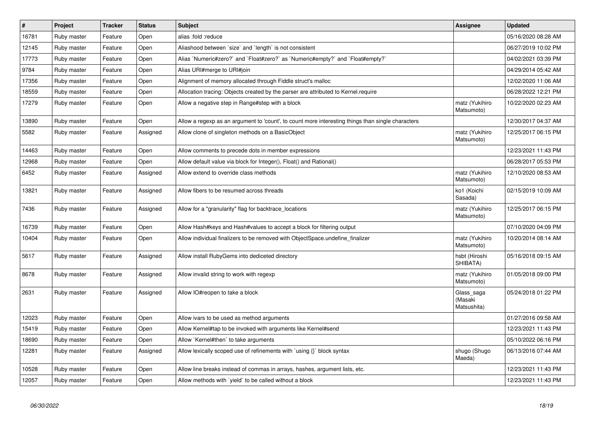| $\vert$ # | Project     | <b>Tracker</b> | <b>Status</b> | <b>Subject</b>                                                                                    | <b>Assignee</b>                      | <b>Updated</b>      |
|-----------|-------------|----------------|---------------|---------------------------------------------------------------------------------------------------|--------------------------------------|---------------------|
| 16781     | Ruby master | Feature        | Open          | alias :fold :reduce                                                                               |                                      | 05/16/2020 08:28 AM |
| 12145     | Ruby master | Feature        | Open          | Aliashood between 'size' and 'length' is not consistent                                           |                                      | 06/27/2019 10:02 PM |
| 17773     | Ruby master | Feature        | Open          | Alias `Numeric#zero?` and `Float#zero?` as `Numeric#empty?` and `Float#empty?`                    |                                      | 04/02/2021 03:39 PM |
| 9784      | Ruby master | Feature        | Open          | Alias URI#merge to URI#join                                                                       |                                      | 04/29/2014 05:42 AM |
| 17356     | Ruby master | Feature        | Open          | Alignment of memory allocated through Fiddle struct's malloc                                      |                                      | 12/02/2020 11:06 AM |
| 18559     | Ruby master | Feature        | Open          | Allocation tracing: Objects created by the parser are attributed to Kernel.require                |                                      | 06/28/2022 12:21 PM |
| 17279     | Ruby master | Feature        | Open          | Allow a negative step in Range#step with a block                                                  | matz (Yukihiro<br>Matsumoto)         | 10/22/2020 02:23 AM |
| 13890     | Ruby master | Feature        | Open          | Allow a regexp as an argument to 'count', to count more interesting things than single characters |                                      | 12/30/2017 04:37 AM |
| 5582      | Ruby master | Feature        | Assigned      | Allow clone of singleton methods on a BasicObject                                                 | matz (Yukihiro<br>Matsumoto)         | 12/25/2017 06:15 PM |
| 14463     | Ruby master | Feature        | Open          | Allow comments to precede dots in member expressions                                              |                                      | 12/23/2021 11:43 PM |
| 12968     | Ruby master | Feature        | Open          | Allow default value via block for Integer(), Float() and Rational()                               |                                      | 06/28/2017 05:53 PM |
| 6452      | Ruby master | Feature        | Assigned      | Allow extend to override class methods                                                            | matz (Yukihiro<br>Matsumoto)         | 12/10/2020 08:53 AM |
| 13821     | Ruby master | Feature        | Assigned      | Allow fibers to be resumed across threads                                                         | ko1 (Koichi<br>Sasada)               | 02/15/2019 10:09 AM |
| 7436      | Ruby master | Feature        | Assigned      | Allow for a "granularity" flag for backtrace locations                                            | matz (Yukihiro<br>Matsumoto)         | 12/25/2017 06:15 PM |
| 16739     | Ruby master | Feature        | Open          | Allow Hash#keys and Hash#values to accept a block for filtering output                            |                                      | 07/10/2020 04:09 PM |
| 10404     | Ruby master | Feature        | Open          | Allow individual finalizers to be removed with ObjectSpace.undefine_finalizer                     | matz (Yukihiro<br>Matsumoto)         | 10/20/2014 08:14 AM |
| 5617      | Ruby master | Feature        | Assigned      | Allow install RubyGems into dediceted directory                                                   | hsbt (Hiroshi<br>SHIBATA)            | 05/16/2018 09:15 AM |
| 8678      | Ruby master | Feature        | Assigned      | Allow invalid string to work with regexp                                                          | matz (Yukihiro<br>Matsumoto)         | 01/05/2018 09:00 PM |
| 2631      | Ruby master | Feature        | Assigned      | Allow IO#reopen to take a block                                                                   | Glass_saga<br>(Masaki<br>Matsushita) | 05/24/2018 01:22 PM |
| 12023     | Ruby master | Feature        | Open          | Allow ivars to be used as method arguments                                                        |                                      | 01/27/2016 09:58 AM |
| 15419     | Ruby master | Feature        | Open          | Allow Kernel#tap to be invoked with arguments like Kernel#send                                    |                                      | 12/23/2021 11:43 PM |
| 18690     | Ruby master | Feature        | Open          | Allow `Kernel#then` to take arguments                                                             |                                      | 05/10/2022 06:16 PM |
| 12281     | Ruby master | Feature        | Assigned      | Allow lexically scoped use of refinements with `using {}` block syntax                            | shugo (Shugo<br>Maeda)               | 06/13/2016 07:44 AM |
| 10528     | Ruby master | Feature        | Open          | Allow line breaks instead of commas in arrays, hashes, argument lists, etc.                       |                                      | 12/23/2021 11:43 PM |
| 12057     | Ruby master | Feature        | Open          | Allow methods with `yield` to be called without a block                                           |                                      | 12/23/2021 11:43 PM |